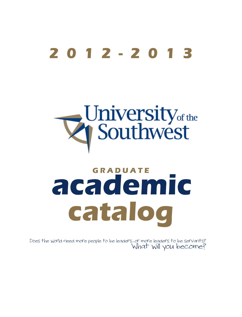# **2012-2013**

# University<sub>of the</sub>

# **GRADUATE academic catalog**

Does the world need more people to be leaders...or more leaders to be servants?<br>What Will you become?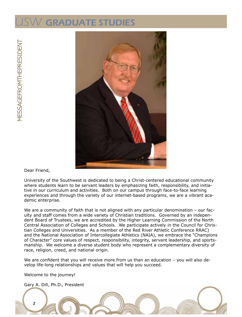### $\lor$  GRADUATE STUDIES

MTHEPRESIDENT MESSAGEFROMTHEPRESIDENT MESSAGEFRO



Dear Friend,

University of the Southwest is dedicated to being a Christ-centered educational community where students learn to be servant leaders by emphasizing faith, responsibility, and initiative in our curriculum and activities. Both on our campus through face-to-face learning experiences and through the variety of our internet-based programs, we are a vibrant academic enterprise.

We are a community of faith that is not aligned with any particular denomination - our faculty and staff comes from a wide variety of Christian traditions. Governed by an independent Board of Trustees, we are accredited by the Higher Learning Commission of the North Central Association of Colleges and Schools. We participate actively in the Council for Christian Colleges and Universities. As a member of the Red River Athletic Conference RRAC) and the National Association of Intercollegiate Athletics (NAIA), we embrace the "Champions of Character" core values of respect, responsibility, integrity, servant leadership, and sportsmanship. We welcome a diverse student body who represent a complementary diversity of race, religion, creed, and national origin.

We are confident that you will receive more from us than an education - you will also develop life-long relationships and values that will help you succeed.

Welcome to the journey!

2

Gary A. Dill, Ph.D., President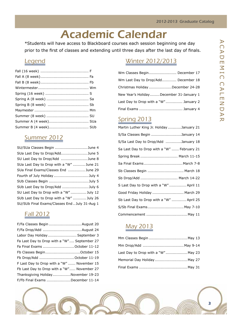# Academic Calendar

<span id="page-2-0"></span>\*Students will have access to Blackboard courses each session beginning one day prior to the first of classes and extending until three days after the last day of finals.

#### **Legend**

#### Summer 2012

| SU/SUa Classes Begin June 4                   |
|-----------------------------------------------|
| SUa Last Day to Drop/AddJune 5                |
| SU Last Day to Drop/Add June 8                |
| SUa Last Day to Drop with a "W"  June 21      |
| SUa Final Exams/Classes End  June 29          |
| Fourth of July Holiday July 4                 |
| SUb Classes Begin July 5                      |
| SUb Last Day to Drop/Add July 6               |
| SU Last Day to Drop with a "W" July 12        |
| SUb Last Day to Drop with a "W"  July 26      |
| SU/SUb Final Exams/Classes End  July 31-Aug 1 |

#### Fall 2012

| F/Fa Classes Begin  August 20               |  |
|---------------------------------------------|--|
|                                             |  |
| Labor Day Holiday September 3               |  |
| Fa Last Day to Drop with a "W" September 27 |  |
| Fa Final Exams October 11-12                |  |
| Fb Classes BeginOctober 15                  |  |
| Fb Drop/Add October 11-19                   |  |
| F Last Day to Drop with a "W"  November 15  |  |
| Fb Last Day to Drop with a "W" November 27  |  |
| Thanksgiving HolidayNovember 19-23          |  |
| F/Fb Final Exams December 11-14             |  |
|                                             |  |

### Winter 2012/2013

| Wm Classes Begin December 17             |
|------------------------------------------|
| Wm Last Day to Drop/Add December 18      |
| Christmas Holiday December 24-28         |
| New Year's Holiday December 31-January 1 |
| Last Day to Drop with a "W" January 2    |
|                                          |

#### Spring 2013

| Martin Luther King Jr. Holiday January 21   |
|---------------------------------------------|
| S/Sa Classes Begin January 14               |
| S/Sa Last Day to Drop/Add January 18        |
| Sa Last Day to Drop with a "W"  February 21 |
| Spring Break  March 11-15                   |
| Sa Final Exams March 7-8                    |
| Sb Classes Begin  March 18                  |
| Sb Drop/Add  March 14-22                    |
| S Last Day to Drop with a "W"  April 11     |
| Good Friday Holiday  March 29               |
| Sb Last Day to Drop with a "W"  April 25    |
| S/Sb Final Exams May 7-10                   |
| Commencement  May 11                        |

### May 2013

| Last Day to Drop with a "W" May 23 |  |
|------------------------------------|--|
| Memorial Day Holiday May 27        |  |
|                                    |  |

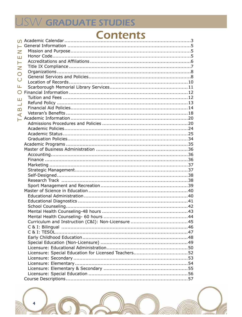# USW GRADUATE STUDIES

# **Contents**

| Ζ                        |  |
|--------------------------|--|
| Ш                        |  |
| Н                        |  |
| Z                        |  |
| $\bigcirc$               |  |
|                          |  |
| $\overline{\mathsf{C}}$  |  |
| Щ                        |  |
| $\bigcirc$               |  |
| Ш                        |  |
| $\overline{\phantom{0}}$ |  |
| B                        |  |
| $\blacktriangleleft$     |  |
|                          |  |
|                          |  |
|                          |  |
|                          |  |
|                          |  |
|                          |  |
|                          |  |
|                          |  |
|                          |  |
|                          |  |
|                          |  |
|                          |  |
|                          |  |
|                          |  |
|                          |  |
|                          |  |
|                          |  |
|                          |  |
|                          |  |
|                          |  |
|                          |  |
|                          |  |
|                          |  |
|                          |  |
|                          |  |
|                          |  |
|                          |  |
|                          |  |
|                          |  |
|                          |  |
|                          |  |
|                          |  |

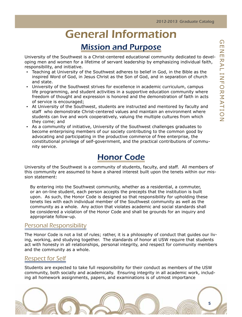# General Information

### Mission and Purpose

<span id="page-4-0"></span>University of the Southwest is a Christ-centered educational community dedicated to developing men and women for a lifetime of servant leadership by emphasizing individual faith, responsibility, and initiative.

- Teaching at University of the Southwest adheres to belief in God, in the Bible as the inspired Word of God, in Jesus Christ as the Son of God, and in separation of church and state.
- University of the Southwest strives for excellence in academic curriculum, campus life programming, and student activities in a supportive education community where freedom of thought and expression is honored and the demonstration of faith in acts of service is encouraged;
- At University of the Southwest, students are instructed and mentored by faculty and staff who demonstrate Christ-centered values and maintain an environment where students can live and work cooperatively, valuing the multiple cultures from which they come; and
- As a community of initiative, University of the Southwest challenges graduates to become enterprising members of our society contributing to the common good by advocating and participating in the productive commerce of free enterprise, the constitutional privilege of self-government, and the practical contributions of community service.

### Honor Code

University of the Southwest is a community of students, faculty, and staff. All members of this community are assumed to have a shared interest built upon the tenets within our mission statement:

By entering into the Southwest community, whether as a residential, a commuter, or an on-line student, each person accepts the precepts that the institution is built upon. As such, the Honor Code is designed so that responsibility for upholding these tenets lies with each individual member of the Southwest community as well as the community as a whole. Any action that violates academic and social standards shall be considered a violation of the Honor Code and shall be grounds for an inquiry and appropriate follow-up.

#### Personal Responsibility

The Honor Code is not a list of rules; rather, it is a philosophy of conduct that guides our living, working, and studying together. The standards of honor at USW require that students act with honesty in all relationships, personal integrity, and respect for community members and the community as a whole.

#### Respect for Self

Students are expected to take full responsibility for their conduct as members of the USW community, both socially and academically. Ensuring integrity in all academic work, including all homework assignments, papers, and examinations is of utmost importance

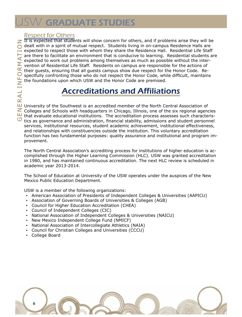# <span id="page-5-0"></span>W GRADUATE STUDIES

#### Respect for Others

 $\overline{z}$  It is expected that students will show concern for others, and if problems arise they will be dealt with in a spirit of mutual respect. Students living in on-campus Residence Halls are expected to respect those with whom they share the Residence Hall. Residential Life Staff are there to facilitate an environment that is conducive to learning. Residential students are expected to work out problems among themselves as much as possible without the intervention of Residential Life Staff. Residents on campus are responsible for the actions of their guests, ensuring that all guests campus show due respect for the Honor Code. Respectfully confronting those who do not respect the Honor Code, while difficult, maintains the foundations upon which USW and the Honor Code are premised.

### Accreditations and Affiliations

University of the Southwest is an accredited member of the North Central Association of  $\geq$  Colleges and Schools with headquarters in Chicago, Illinois, one of the six regional agencies that evaluate educational institutions. The accreditation process assesses such characteris- $\sigma$  tics as governance and administration, financial stability, admissions and student personnel services, institutional resources, student academic achievement, institutional effectiveness, and relationships with constituencies outside the institution. This voluntary accreditation function has two fundamental purposes: quality assurance and institutional and program improvement.

The North Central Association's accrediting process for institutions of higher education is accomplished through the Higher Learning Commission (HLC). USW was granted accreditation in 1980, and has maintained continuous accreditation. The next HLC review is scheduled in academic year 2013-2014.

The School of Education at University of the USW operates under the auspices of the New Mexico Public Education Department.

USW is a member of the following organizations:

- American Association of Presidents of Independent Colleges & Universities (AAPICU)
- Association of Governing Boards of Universities & Colleges (AGB)
- Council for Higher Education Accreditation (CHEA)
- Council of Independent Colleges (CIC)
- National Association of Independent Colleges & Universities (NAICU)
- New Mexico Independent College Fund (NMICF)
- National Association of Intercollegiate Athletics (NAIA)
- Council for Christian Colleges and Universities (CCCU)
- College Board

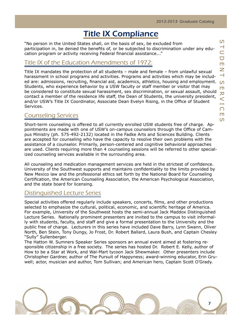### Title IX Compliance

<span id="page-6-0"></span>"No person in the United States shall, on the basis of sex, be excluded from participation in, be denied the benefits of, or be subjected to discrimination under any education program or activity receiving Federal financial assistance..."

#### Title IX of the Education Amendments of 1972:

Title IX mandates the protection of all students – male and female – from unlawful sexual harassment in school programs and activities. Programs and activities which may be included are: admissions, recruiting, financial aid, academics, athletics, housing and employment. Students, who experience behavior by a USW faculty or staff member or visitor that may be considered to constitute sexual harassment, sex discrimination, or sexual assault, should contact a member of the residence life staff, the Dean of Students, the university president, and/or USW's Title IX Coordinator, Associate Dean Evelyn Rising, in the Office of Student Services.

#### Counseling Services

Short-term counseling is offered to all currently enrolled USW students free of charge. Appointments are made with one of USW's on-campus counselors through the Office of Campus Ministry (ph. 575-492-2132) located in the Fadke Arts and Sciences Building. Clients are accepted for counseling who have the capacity to resolve their own problems with the assistance of a counselor. Primarily, person-centered and cognitive behavioral approaches are used. Clients requiring more than 4 counseling sessions will be referred to other specialized counseling services available in the surrounding area.

All counseling and medication management services are held in the strictest of confidence. University of the Southwest supports and maintains confidentiality to the limits provided by New Mexico law and the professional ethics set forth by the National Board for Counseling Certification, the American Counseling Association, the American Psychological Association, and the state board for licensing.

#### Distinguished Lecture Series

Special activities offered regularly include speakers, concerts, films, and other productions selected to emphasize the cultural, political, economic, and scientific heritage of America. For example, University of the Southwest hosts the semi-annual Jack Maddox Distinguished Lecture Series. Nationally prominent presenters are invited to the campus to visit informally with students, faculty, and staff and give a formal presentation to the University and the public free of charge. Lecturers in this series have included Dave Barry, Lynn Swann, Oliver North, Ben Stein, Tony Dungy, Jo Frost, Dr. Robert Ballard, Laura Bush, and Captain Chesley "Sully" Sullenberger.

The Hatton W. Sumners Speaker Series sponsors an annual event aimed at fostering responsible citizenship in a free society. The series has hosted Dr. Robert E. Kelly, author of How to be a Star at Work, and Wal-Mart tycoon Jack Shewmaker. Other presenters include Christopher Gardner, author of The Pursuit of Happyness; award-winning educator, Erin Gruwell; actor, musician and author, Tom Sullivan; and American hero, Captain Scott O'Grady.

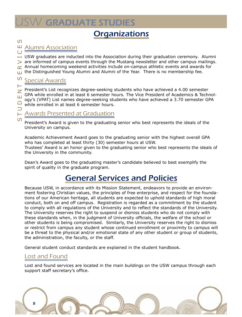# <span id="page-7-0"></span>**SW GRADUATE STUDIES**

### **Organizations**

### e s

 $\Omega$ 

Н Z

#### $\cup$ Alumni Association

 $\blacksquare$  USW graduates are inducted into the Association during their graduation ceremony. Alumni ervi are informed of campus events through the Mustang newsletter and other campus mailings. Annual homecoming weekend activities include on-campus athletic events and awards for  $\alpha$ the Distinguished Young Alumni and Alumni of the Year. There is no membership fee. Ш

### dent  $\mathcal{S}$ Special Awards

President's List recognizes degree-seeking students who have achieved a 4.00 semester GPA while enrolled in at least 6 semester hours. The Vice President of Academics & Technol-Ш ogy's (VPAT) List names degree-seeking students who have achieved a 3.70 semester GPA  $\Box$ while enrolled in at least 6 semester hours.

#### $\vdash$  $\Box$ Awards Presented at Graduation

President's Award is given to the graduating senior who best represents the ideals of the University on campus.

Academic Achievement Award goes to the graduating senior with the highest overall GPA who has completed at least thirty (30) semester hours at USW.

Trustees' Award is an honor given to the graduating senior who best represents the ideals of the University in the community.

Dean's Award goes to the graduating master's candidate believed to best exemplify the spirit of quality in the graduate program.

### General Services and Policies

Because USW, in accordance with its Mission Statement, endeavors to provide an environment fostering Christian values, the principles of free enterprise, and respect for the foundations of our American heritage, all students are expected to uphold standards of high moral conduct, both on and off campus. Registration is regarded as a commitment by the student to comply with all regulations of the University and to reflect the standards of the University. The University reserves the right to suspend or dismiss students who do not comply with these standards when, in the judgment of University officials, the welfare of the school or other students is being compromised. Similarly, the University reserves the right to dismiss or restrict from campus any student whose continued enrollment or proximity to campus will be a threat to the physical and/or emotional state of any other student or group of students, the administration, the faculty, or the staff.

General student conduct standards are explained in the student handbook.

#### Lost and Found

Lost and found services are located in the main buildings on the USW campus through each support staff secretary's office.

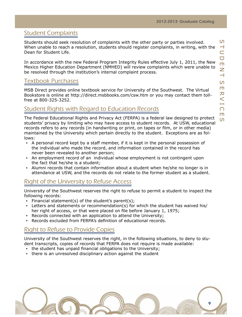#### Student Complaints

Students should seek resolution of complaints with the other party or parties involved. When unable to reach a resolution, students should register complaints, in writing, with the Dean for Student Life.

In accordance with the new Federal Program Integrity Rules effective July 1, 2011, the New Mexico Higher Education Department (NMHED) will review complaints which were unable to be resolved through the institution's internal complaint process.

#### Textbook Purchases

MSB Direct provides online textbook service for University of the Southwest. The Virtual Bookstore is online at http://direct.msbbooks.com/csw.htm or you may contact them tollfree at 800-325-3252.

#### Student Rights with Regard to Education Records

The Federal Educational Rights and Privacy Act (FERPA) is a federal law designed to protect students' privacy by limiting who may have access to student records. At USW, educational records refers to any records (in handwriting or print, on tapes or film, or in other media) maintained by the University which pertain directly to the student. Exceptions are as follows:

- A personal record kept by a staff member, if it is kept in the personal possession of the individual who made the record, and information contained in the record has never been revealed to another person;
- An employment record of an individual whose employment is not contingent upon the fact that he/she is a student;
- Alumni records that contain information about a student when he/she no longer is in attendance at USW, and the records do not relate to the former student as a student.

#### Right of the University to Refuse Access

University of the Southwest reserves the right to refuse to permit a student to inspect the following records:

- $\blacksquare$  Financial statement(s) of the student's parent(s);
- Letters and statements or recommendation(s) for which the student has waived his/ her right of access, or that were placed on file before January 1, 1975;
- Records connected with an application to attend the University;
- Records excluded from FERPA's definition of educational records.

#### Right to Refuse to Provide Copies

University of the Southwest reserves the right, in the following situations, to deny to student transcripts, copies of records that FERPA does not require is made available:

- the student has unpaid financial obligations to the University;
- . there is an unresolved disciplinary action against the student

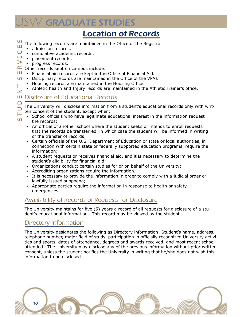# <span id="page-9-0"></span>**SW GRADUATE STUDIES**

### Location of Records

- C E S The following records are maintained in the Office of the Registrar:
	- **•** admission records,
	- cumulative academic records,
- $\overline{\phantom{0}}$ placement records,
- $\geq$ ▪ progress records.
- $\alpha$  Other records kept on campus include:
- $\Box$  Financial aid records are kept in the Office of Financial Aid.
- $\mathcal{S}$  Disciplinary records are maintained in the Office of the VPAT.
	- Housing records are maintained in the Housing Office.
	- Athletic health and Injury records are maintained in the Athletic Trainer's office.

#### Disclosure of Educational Records

The University will disclose information from a student's educational records only with written consent of the student, except when:

- School officials who have legitimate educational interest in the information request the records;
- An official of another school where the student seeks or intends to enroll requests that the records be transferred, in which case the student will be informed in writing of the transfer of records;
- Certain officials of the U.S. Department of Education or state or local authorities, in connection with certain state or federally supported education programs, require the information;
- A student requests or receives financial aid, and it is necessary to determine the student's eligibility for financial aid;
- Organizations conduct certain studies for or on behalf of the University;
- Accrediting organizations require the information;
- It is necessary to provide the information in order to comply with a judicial order or lawfully issued subpoena;
- Appropriate parties require the information in response to health or safety emergencies.

#### Avalilability of Records of Requests for Disclosure

The University maintains for five (5) years a record of all requests for disclosure of a student's educational information. This record may be viewed by the student.

#### Directory Information

The University designates the following as Directory information: Student's name, address, telephone number, major field of study, participation in officially recognized University activities and sports, dates of attendance, degrees and awards received, and most recent school attended. The University may disclose any of the previous information without prior written consent, unless the student notifies the University in writing that he/she does not wish this information to be disclosed.



 ervi dent  $\overline{z}$ Ш  $\Box$  $\overline{\phantom{0}}$ t

 $\Omega$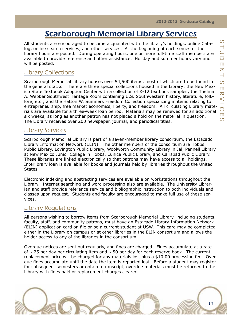### Scarborough Memorial Library Services

<span id="page-10-0"></span>All students are encouraged to become acquainted with the library's holdings, online Catalog, online search services, and other services. At the beginning of each semester the library hours are posted. During operating hours, one or more full-time staff members are available to provide reference and other assistance. Holiday and summer hours vary and will be posted.

#### Library Collections

Scarborough Memorial Library houses over 54,500 items, most of which are to be found in the general stacks. There are three special collections housed in the Library: the New Mexico State Textbook Adoption Center with a collection of K-12 textbook samples; the Thelma A. Webber Southwest Heritage Room containing U.S. Southwestern history, literature, folklore, etc.; and the Hatton W. Sumners Freedom Collection specializing in items relating to entrepreneurship, free market economics, liberty, and freedom. All circulating Library materials are available for a three-week loan period. Materials may be renewed for an additional six weeks, as long as another patron has not placed a hold on the material in question. The Library receives over 200 newspaper, journal, and periodical titles.

#### Library Services

Scarborough Memorial Library is part of a seven-member library consortium, the Estacado Library Information Network (ELIN). The other members of the consortium are Hobbs Public Library, Lovington Public Library, Woolworth Community Library in Jal, Pannell Library at New Mexico Junior College in Hobbs, Eunice Public Library, and Carlsbad Public Library. These libraries are linked electronically so that patrons may have access to all holdings. Interlibrary loan is available for books and journals held by libraries throughout the United States.

Electronic indexing and abstracting services are available on workstations throughout the Library. Internet searching and word processing also are available. The University Librarian and staff provide reference service and bibliographic instruction to both individuals and classes upon request. Students and faculty are encouraged to make full use of these services.

#### Library Regulations

All persons wishing to borrow items from Scarborough Memorial Library, including students, faculty, staff, and community patrons, must have an Estacado Library Information Network (ELIN) application card on file or be a current student at USW. This card may be completed either in the Library on campus or at other libraries in the ELIN consortium and allows the holder access to any of the libraries in the consortium.

Overdue notices are sent out regularly, and fines are charged. Fines accumulate at a rate of \$.25 per day per circulating item and \$.50 per day for each reserve book. The current replacement price will be charged for any materials lost plus a \$10.00 processing fee. Overdue fines accumulate until the date the item is reported lost. Before a student may register for subsequent semesters or obtain a transcript, overdue materials must be returned to the Library with fines paid or replacement charges cleared.

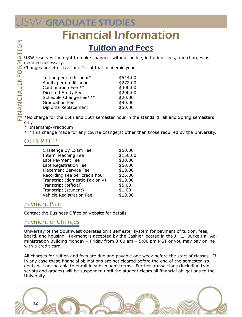# <span id="page-11-0"></span> $\vee$  GRADUATE STUDIES

# Financial Information

### Tuition and Fees

USW reserves the right to make changes, without notice, in tuition, fees, and charges as deemed necessary.

Changes are effective June 1st of that academic year.

| Tuition per credit hour* | \$544.00 |
|--------------------------|----------|
| Audit: per credit hour   | \$272.00 |
| Continuation Fee **      | \$400.00 |
| Directed Study Fee       | \$200.00 |
| Schedule Change Fee***   | \$20.00  |
| <b>Graduation Fee</b>    | \$90.00  |
| Diploma Replacement      | \$50.00  |

\*No charge for the 15th and 16th semester hour in the standard Fall and Spring semesters only

\*\*Internship/Practicum

\*\*\*This change made for any course change(s) other than those required by the University.

#### OTHER FEES

| Challenge By Exam Fee          | \$50.00  |
|--------------------------------|----------|
| Intern Teaching Fee            | \$150.00 |
| Late Payment Fee               | \$30.00  |
| Late Registration Fee          | \$50.00  |
| <b>Placement Service Fee</b>   | \$10.00  |
| Recording Fee per credit hour  | \$25.00  |
| Transcript (domestic-Fax only) | \$10.00  |
| Transcript (official)          | \$5.00   |
| Transcript (student)           | \$1.00   |
| Vehicle Registration Fee       | \$10.00  |

#### Payment Plan

Contact the Business Office or website for details.

#### Payment of Charges

University of the Southwest operates on a semester system for payment of tuition, fees, board, and housing. Payment is accepted by the Cashier located in the J. L. Burke Hall Administration Building Monday – Friday from 8:00 am – 5:00 pm MST or you may pay online with a credit card.

All charges for tuition and fees are due and payable one week before the start of classes. If in any case these financial obligations are not cleared before the end of the semester, students will not be able to enroll in subsequent terms. Further transactions (including transcripts and grades) will be suspended until the student clears all financial obligations to the University.

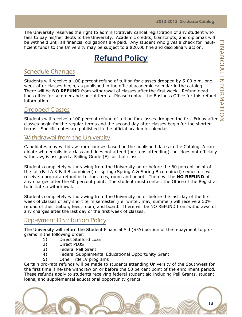<span id="page-12-0"></span>The University reserves the right to administratively cancel registration of any student who fails to pay his/her debts to the University. Academic credits, transcripts, and diplomas will be withheld until all financial obligations are paid. Any student who gives a check for insufficient funds to the University may be subject to a \$20.00 fine and disciplinary action.

### Refund Policy

#### Schedule Changes

Students will receive a 100 percent refund of tuition for classes dropped by 5:00 p.m. one week after classes begin, as published in the official academic calendar in the catalog. There will be **NO REFUND** from withdrawal of classes after the first week. Refund deadlines differ for summer and special terms. Please contact the Business Office for this refund information.

#### Dropped Classes

Students will receive a 100 percent refund of tuition for classes dropped the first Friday after classes begin for the regular terms and the second day after classes begin for the shorter terms. Specific dates are published in the official academic calendar.

#### Withdrawal from the University

Candidates may withdraw from courses based on the published dates in the Catalog. A candidate who enrolls in a class and does not attend (or stops attending), but does not officially withdraw, is assigned a Failing Grade (F) for that class.

Students completely withdrawing from the University on or before the 60 percent point of the fall (Fall A & Fall B combined) or spring (Spring A & Spring B combined) semesters will receive a pro-rata refund of tuition, fees, room and board. There will be **NO REFUND** of any charges after the 60 percent point. The student must contact the Office of the Registrar to initiate a withdrawal.

Students completely withdrawing from the University on or before the last day of the first week of classes of any short term semester (i.e. winter, may, summer) will receive a 50% refund of their tuition, fees, room, and board. There will be NO REFUND from withdrawal of any charges after the last day of the first week of classes.

#### Repayment Distribution Policy

The University will return the Student Financial Aid (SFA) portion of the repayment to programs in the following order:

- 1) Direct Stafford Loan
- 2) Direct PLUS
- 3) Federal Pell Grant
- 4) Federal Supplemental Educational Opportunity Grant
- 5) Other Title IV programs

Certain pro-rata refunds will be made to students attending University of the Southwest for the first time if he/she withdraw on or before the 60 percent point of the enrollment period. These refunds apply to students receiving federal student aid including Pell Grants, student loans, and supplemental educational opportunity grants.

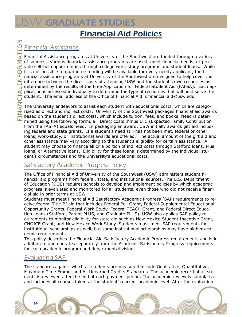### <span id="page-13-0"></span>W GRADUATE STUDIES Financial Aid Policies

### Financial Assistance

Financial Assistance programs at University of the Southwest are funded through a variety of sources. Various financial assistance programs are used, meet financial needs, or provide self-help opportunities through college work-study programs and student loans. While it is not possible to guarantee funding will be available for every needy applicant, the financial assistance programs at University of the Southwest are designed to help cover the difference between the direct costs of attending USW and the student's own resources as determined by the results of the Free Application for Federal Student Aid (FAFSA). Each application is assessed individually to determine the type of resources that will best serve the student. The email address of the Office of Financial Aid is financial aid@usw.edu.

The University endeavors to assist each student with educational costs, which are categorized as direct and indirect costs. University of the Southwest packages financial aid awards based on the student's direct costs, which include tuition, fees, and books. Need is determined using the following formula: Direct costs minus EFC (Expected Family Contribution from the FASFA) equals need. In packaging an award, USW initially awards gift aid including federal and state grants. If a student's need still has not been met, federal or other loans, work-study, or institutional awards are offered. The actual amount of the gift aid and other assistance may vary according to the student's eligibility for certain assistance. A student may choose to finance all or a portion of indirect costs through Stafford loans, Plus loans, or Alternative loans. Eligibility for these loans is determined by the individual student's circumstances and the University's educational costs.

#### Satisfactory Academic Progress Policy

The Office of Financial Aid of University of the Southwest (USW) administers student financial aid programs from federal, state, and institutional sources. The U.S. Department of Education (DOE) requires schools to develop and implement policies by which academic progress is evaluated and monitored for all students, even those who did not receive financial aid in prior terms at USW.

Students must meet Financial Aid Satisfactory Academic Progress (SAP) requirements to receive federal Title IV aid that includes Federal Pell Grant, Federal Supplemental Educational Opportunity Grants, Federal Work Study, Federal TEACH Grant, and Federal Direct Education Loans (Stafford, Parent PLUS, and Graduate PLUS). USW also applies SAP policy requirements to monitor eligibility for state aid such as New Mexico Student Incentive Grant, CHOICE Grant, and New Mexico Work Study. Students must meet SAP requirements for institutional scholarships as well, but some institutional scholarships may have higher academic requirements.

This policy describes the Financial Aid Satisfactory Academic Progress requirements and is in addition to and operates separately from the Academic Satisfactory Progress requirements for each academic program and department/division.

#### Evaluating SAP

The standards against which all students are measured include Qualitative, Quantitative, Maximum Time Frame, and All Unearned Credits Standards. The academic record of all students is reviewed after the end of each payment period. The academic review is cumulative and includes all courses taken at the student's current academic level. After the evaluation,

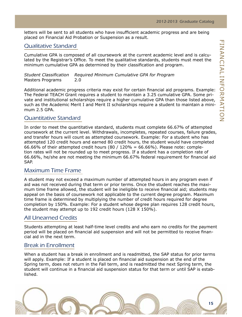letters will be sent to all students who have insufficient academic progress and are being placed on Financial Aid Probation or Suspension as a result.

#### Qualitative Standard

Cumulative GPA is composed of all coursework at the current academic level and is calculated by the Registrar's Office. To meet the qualitative standards, students must meet the minimum cumulative GPA as determined by their classification and program.

*Student Classification Required Minimum Cumulative GPA for Program* Masters Programs 2.0

Additional academic progress criteria may exist for certain financial aid programs. Example: The Federal TEACH Grant requires a student to maintain a 3.25 cumulative GPA. Some private and institutional scholarships require a higher cumulative GPA than those listed above, such as the Academic Merit I and Merit II scholarships require a student to maintain a minimum 2.5 GPA.

#### Quantitative Standard

In order to meet the quantitative standard, students must complete 66.67% of attempted coursework at the current level. Withdrawals, incompletes, repeated courses, failure grades, and transfer hours will count as attempted coursework. Example: For a student who has attempted 120 credit hours and earned 80 credit hours, the student would have completed 66.66% of their attempted credit hours (80 / 120% = 66.66%). Please note: completion rates will not be rounded up to meet progress. If a student has a completion rate of 66.66%, he/she are not meeting the minimum 66.67% federal requirement for financial aid SAP.

#### Maximum Time Frame

A student may not exceed a maximum number of attempted hours in any program even if aid was not received during that term or prior terms. Once the student reaches the maximum time frame allowed, the student will be ineligible to receive financial aid; students may appeal on the basis of coursework not applicable to the current degree program. Maximum time frame is determined by multiplying the number of credit hours required for degree completion by 150%. Example: For a student whose degree plan requires 128 credit hours, the student may attempt up to 192 credit hours (128 X 150%).

#### All Unearned Credits

Students attempting at least half-time level credits and who earn no credits for the payment period will be placed on financial aid suspension and will not be permitted to receive financial aid in the next term.

#### Break in Enrollment

When a student has a break in enrollment and is readmitted, the SAP status for prior terms will apply. Example: If a student is placed on financial aid suspension at the end of the Spring term, does not return in the Fall term, and is readmitted the next Spring term, the student will continue in a financial aid suspension status for that term or until SAP is established.

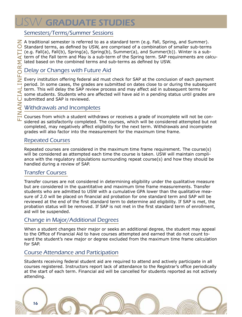# **ISW GRADUATE STUDIES**

#### Semesters/Terms/Summer Sessions

 $\mathbb Z$  A traditional semester is referred to as a standard term (e.g. Fall, Spring, and Summer).  $\bigcirc$  Standard terms, as defined by USW, are comprised of a combination of smaller sub-terms (e.g. Fall(a), Fall(b), Spring(a), Spring(b), Summer(a), and Summer(b)). Winter is a subterm of the Fall term and May is a sub-term of the Spring term. SAP requirements are calculated based on the combined terms and sub-terms as defined by USW.

#### Delay or Changes with Future Aid

Every institution offering federal aid must check for SAP at the conclusion of each payment period. In some cases, the grades are submitted on dates close to or during the subsequent term. This will delay the SAP review process and may affect aid in subsequent terms for some students. Students who are affected will have aid in a pending status until grades are submitted and SAP is reviewed.

#### Withdrawals and Incompletes

Courses from which a student withdraws or receives a grade of incomplete will not be considered as satisfactorily completed. The courses, which will be considered attempted but not completed, may negatively affect eligibility for the next term. Withdrawals and incomplete grades will also factor into the measurement for the maximum time frame.

#### Repeated Courses

Repeated courses are considered in the maximum time frame requirement. The course(s) will be considered as attempted each time the course is taken. USW will maintain compliance with the regulatory stipulations surrounding repeat course(s) and how they should be handled during a review of SAP.

#### Transfer Courses

Transfer courses are not considered in determining eligibility under the qualitative measure but are considered in the quantitative and maximum time frame measurements. Transfer students who are admitted to USW with a cumulative GPA lower than the qualitative measure of 2.0 will be placed on financial aid probation for one standard term and SAP will be reviewed at the end of the first standard term to determine aid eligibility. If SAP is met, the probation status will be removed. If SAP is not met in the first standard term of enrollment, aid will be suspended.

#### Change in Major/Additional Degrees

When a student changes their major or seeks an additional degree, the student may appeal to the Office of Financial Aid to have courses attempted and earned that do not count toward the student's new major or degree excluded from the maximum time frame calculation for SAP.

#### Course Attendance and Participation

Students receiving federal student aid are required to attend and actively participate in all courses registered. Instructors report lack of attendance to the Registrar's office periodically at the start of each term. Financial aid will be cancelled for students reported as not actively attending.

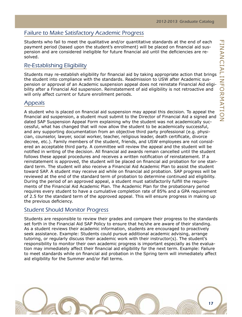#### Failure to Make Satisfactory Academic Progress

Students who fail to meet the qualitative and/or quantitative standards at the end of each payment period (based upon the student's enrollment) will be placed on financial aid suspension and are considered ineligible for future financial aid until the deficiencies are resolved.

#### Re-Establishing Eligibility

Students may re-establish eligibility for financial aid by taking appropriate action that brings the student into compliance with the standards. Readmission to USW after Academic suspension or approval of an Academic suspension appeal does not reinstate Financial Aid eligibility after a Financial Aid suspension. Reinstatement of aid eligibility is not retroactive and will only affect current or future enrollment periods.

#### Appeals

A student who is placed on financial aid suspension may appeal this decision. To appeal the financial aid suspension, a student must submit to the Director of Financial Aid a signed and dated SAP Suspension Appeal Form explaining why the student was not academically successful, what has changed that will now allow the student to be academically successful, and any supporting documentation from an objective third party professional (e.g. physician, counselor, lawyer, social worker, teacher, religious leader, death certificate, divorce decree, etc.). Family members of the student, friends, and USW employees are not considered an acceptable third party. A committee will review the appeal and the student will be notified in writing of the decision. All financial aid awards remain cancelled until the student follows these appeal procedures and receives a written notification of reinstatement. If a reinstatement is approved, the student will be placed on financial aid probation for one standard term. The student will also receive a Financial Aid Academic Plan to assist the student toward SAP. A student may receive aid while on financial aid probation. SAP progress will be reviewed at the end of the standard term of probation to determine continued aid eligibility. During the period of an approved appeal, a student must satisfactorily fulfill the requirements of the Financial Aid Academic Plan. The Academic Plan for the probationary period requires every student to have a cumulative completion rate of 85% and a GPA requirement of 2.5 for the standard term of the approved appeal. This will ensure progress in making up the previous deficiency.

#### Student Should Monitor Progress

Students are responsible to review their grades and compare their progress to the standards set forth in the Financial Aid SAP Policy to ensure that he/she are aware of their standing. As a student reviews their academic information, students are encouraged to proactively seek assistance. Example: Students could pursue additional academic advising, arrange tutoring, or regularly discuss their academic work with their instructor(s). The student's responsibility to monitor their own academic progress is important especially as the evaluation may immediately affect their financial aid eligibility for the next term. Example: Failure to meet standards while on financial aid probation in the Spring term will immediately affect aid eligibility for the Summer and/or Fall terms.

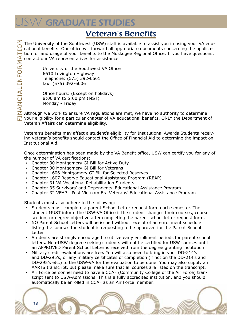# <span id="page-17-0"></span>**SW GRADUATE STUDIES**

### Veteran's Benefits

 $\leq$  The University of the Southwest (USW) staff is available to assist you in using your VA educational benefits. Our office will forward all appropriate documents concerning the application for and usage of your benefits to the Muskogee Regional Office. If you have questions, contact our VA representatives for assistance.

> University of the Southwest VA Office 6610 Lovington Highway Telephone: (575) 392-6561 fax: (575) 392-6006

Office hours: (Except on holidays) 8:00 am to 5:00 pm (MST) Monday - Friday

Although we work to ensure VA regulations are met, we have no authority to determine your eligibility for a particular chapter of VA educational benefits. ONLY the Department of Veteran Affairs can determine eligibility.

Veteran's benefits may affect a student's eligibility for Institutional Awards Students receiving veteran's benefits should contact the Office of Financial Aid to determine the impact on Institutional Aid.

Once determination has been made by the VA Benefit office, USW can certify you for any of the number of VA certifications:

- Chapter 30 Montgomery GI Bill for Active Duty
- Chapter 30 Montgomery GI Bill for Veterans
- Chapter 1606 Montgomery GI Bill for Selected Reserves
- Chapter 1607 Reserve Educational Assistance Program (REAP)
- Chapter 31 VA Vocational Rehabilitation Students
- Chapter 35 Survivors' and Dependents' Educational Assistance Program
- Chapter 32 VEAP Post-Vietnam Era Veterans' Educational Assistance Program

Students must also adhere to the following:

18

- Students must complete a parent School Letter request form each semester. The student MUST inform the USW-VA Office if the student changes their courses, course section, or degree objective after completing the parent school letter request form.
- NO Parent School Letters will be issued without receipt of an enrollment schedule listing the courses the student is requesting to be approved for the Parent School Letter.
- Students are strongly encouraged to utilize early enrollment periods for parent school letters. Non-USW degree seeking students will not be certified for USW courses until an APPROVED Parent School Letter is received from the degree granting institution.
- Military credit evaluations are free. You will also need to bring in your DD-214's and DD-295's, or any military certificates of completion (if not on the DD-214's and DD-295's etc.) to the USW-VA for the evaluation to be done. You may also supply an AARTS transcript, but please make sure that all courses are listed on the transcript.
- Air Force personnel need to have a CCAF (Community College of the Air Force) transcript sent to USW-Admissions. This is a fully accredited institution, and you should automatically be enrolled in CCAF as an Air Force member.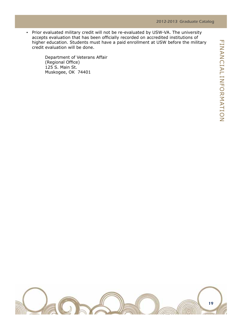▪ Prior evaluated military credit will not be re-evaluated by USW-VA. The university accepts evaluation that has been officially recorded on accredited institutions of higher education. Students must have a paid enrollment at USW before the military credit evaluation will be done.

> Department of Veterans Affair (Regional Office) 125 S. Main St. Muskogee, OK 74401

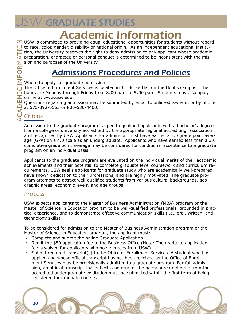# Academic Information

<span id="page-19-0"></span> $\geq$  USW is committed to providing equal educational opportunities for students without regard  $\bullet$  to race, color, gender, disability or national origin. As an independent educational institution, the University reserves the right to deny admission to any applicant whose academic preparation, character, or personal conduct is determined to be inconsistent with the mission and purposes of the University.

### Admissions Procedures and Policies

Where to apply for graduate admission:

The Office of Enrollment Services is located in J.L Burke Hall on the Hobbs campus. The

hours are Monday through Friday from 8:00 a.m. to 5:00 p.m. Students may also apply online at www.usw.edu

Questions regarding admission may be submitted by email to online@usw.edu, or by phone at 575-392-6563 or 800-530-4400.

### Criteria

Admission to the graduate program is open to qualified applicants with a bachelor's degree from a college or university accredited by the appropriate regional accrediting association and recognized by USW. Applicants for admission must have earned a 3.0 grade point average (GPA) on a 4.0 scale as an undergraduate. Applicants who have earned less than a 3.0 cumulative grade point average may be considered for conditional acceptance to a graduate program on an individual basis.

Applicants to the graduate program are evaluated on the individual merits of their academic achievements and their potential to complete graduate level coursework and curriculum requirements. USW seeks applicants for graduate study who are academically well-prepared, have shown dedication to their professions, and are highly motivated. The graduate program attempts to attract well-qualified students from various cultural backgrounds, geographic areas, economic levels, and age groups.

#### Process

USW expects applicants to the Master of Business Administration (MBA) program or the Master of Science in Education program to be well-qualified professionals, grounded in practical experience, and to demonstrate effective communication skills (i.e., oral, written, and technology skills).

To be considered for admission to the Master of Business Administration program or the Master of Science in Education program, the applicant must:

- Complete and submit the online Graduate Application.
- Remit the \$50 application fee to the Business Office (Note: The graduate application fee is waived for applicants who hold degrees from USW).
- Submit required transcript(s) to the Office of Enrollment Services. A student who has applied and whose official transcript has not been received by the Office of Enrollment Services may be provisionally admitted to a graduate program. For full admission, an official transcript that reflects conferral of the baccalaureate degree from the accredited undergraduate institution must be submitted within the first term of being registered for graduate courses.

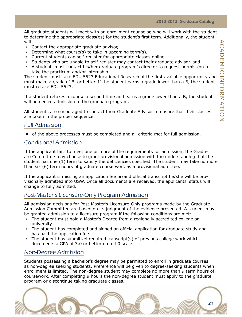All graduate students will meet with an enrollment counselor, who will work with the student to determine the appropriate class(es) for the student's first term. Additionally, the student will:

- Contact the appropriate graduate advisor,
- **•** Determine what course(s) to take in upcoming term(s),
- Current students can self-register for appropriate classes online.
- Students who are unable to self-register may contact their graduate advisor, and
- A student must contact his/her graduate program's director to request permission to take the practicum and/or internship.

The student must take EDU 5523 Educational Research at the first available opportunity and must make a grade of B, or better. If the student earns a grade lower than a B, the student must retake EDU 5523.

If a student retakes a course a second time and earns a grade lower than a B, the student will be denied admission to the graduate program..

All students are encouraged to contact their Graduate Advisor to ensure that their classes are taken in the proper sequence.

#### Full Admission

All of the above processes must be completed and all criteria met for full admission.

#### Conditional Admission

If the applicant fails to meet one or more of the requirements for admission, the Graduate Committee may choose to grant provisional admission with the understanding that the student has one (1) term to satisfy the deficiencies specified. The student may take no more than six (6) term hours of graduate course work as a provisional admittee.

If the applicant is missing an application fee or/and official transcript he/she will be provisionally admitted into USW. Once all documents are received, the applicants' status will change to fully admitted.

#### Post-Master's Licensure-Only Program Admission

All admission decisions for Post-Master's Licensure-Only programs made by the Graduate Admission Committee are based on its judgment of the evidence presented. A student may be granted admission to a licensure program if the following conditions are met:

- The student must hold a Master's Degree from a regionally accredited college or university.
- The student has completed and signed an official application for graduate study and has paid the application fee.
- The student has submitted required transcript(s) of previous college work which documents a GPA of 3.0 or better on a 4.0 scale.

#### Non-Degree Admission

Students possessing a bachelor's degree may be permitted to enroll in graduate courses as non-degree seeking students. Preference will be given to degree-seeking students when enrollment is limited. The non-degree student may complete no more than 9 term hours of coursework. After completing 9 hours the non-degree student must apply to the graduate program or discontinue taking graduate classes.

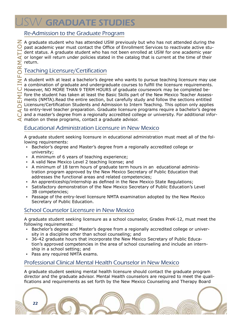# **ISW GRADUATE STUDIES**

#### Re-Admission to the Graduate Program

 $\geq$  A graduate student who has attended USW previously but who has not attended during the  $\overline{O}$  past academic year must contact the Office of Enrollment Services to reactivate active student status. A graduate student who has not been enrolled at USW for one academic year or longer will return under policies stated in the catalog that is current at the time of their  $\sum$  return.

#### Teaching Licensure/Certification

Licensure/Certification Students and Admission to Intern Teaching. This option only applies<br>to entry-level teacher preparation. Graduate licensure programs require a bachelor's degree<br>and a master's degree from a regionall  $\geq$  A student with at least a bachelor's degree who wants to pursue teaching licensure may use a combination of graduate and undergraduate courses to fulfill the licensure requirements. However, NO MORE THAN 9 TERM HOURS of graduate coursework may be completed be-<br> $\Box$  fore the student has taken at least the Basic Skills part of the New Mexico Teacher Assessfore the student has taken at least the Basic Skills part of the New Mexico Teacher Assessments (NMTA).Read the entire section, but carefully study and follow the sections entitled  $\overline{f}$  to entry-level teacher preparation. Graduate licensure programs require a bachelor's degree  $\bigcup$  and a master's degree from a regionally accredited college or university. For additional infor- $\blacktriangleleft$  mation on these programs, contact a graduate advisor.

#### Educational Administration Licensure in New Mexico

A graduate student seeking licensure in educational administration must meet all of the following requirements:

- Bachelor's degree and Master's degree from a regionally accredited college or university;
- A minimum of 6 years of teaching experience;
- A valid New Mexico Level 2 teaching license; and
- A minimum of 18 term hours of graduate term hours in an educational administration program approved by the New Mexico Secretary of Public Education that addresses the functional areas and related competencies;
- An apprenticeship/internship as defined in the New Mexico State Regulations;
- Satisfactory demonstration of the New Mexico Secretary of Public Education's Level 3B competencies;
- Passage of the entry-level licensure NMTA examination adopted by the New Mexico Secretary of Public Education.

#### School Counselor Licensure in New Mexico

A graduate student seeking licensure as a school counselor, Grades PreK-12, must meet the following requirements:

- Bachelor's degree and Master's degree from a regionally accredited college or university in a discipline other than school counseling; and
- 36-42 graduate hours that incorporate the New Mexico Secretary of Public Education's approved competencies in the area of school counseling and include an internship in a school setting; and
- Pass any required NMTA exams.

#### Professional Clinical Mental Health Counselor in New Mexico

A graduate student seeking mental health licensure should contact the graduate program director and the graduate advisor. Mental Health counselors are required to meet the qualifications and requirements as set forth by the New Mexico Counseling and Therapy Board

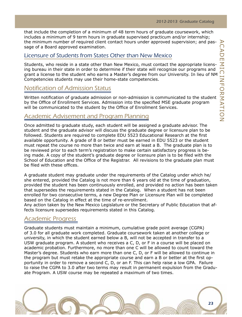that include the completion of a minimum of 48 term hours of graduate coursework, which includes a minimum of 9 term hours in graduate supervised practicum and/or internship; the minimum number of required client contact hours under approved supervision; and passage of a Board approved examination.

#### Licensure of Students from States Other than New Mexico

Students, who reside in a state other than New Mexico, must contact the appropriate licensing bureau in their state in order to determine if their state will recognize our programs and grant a license to the student who earns a Master's degree from our University. In lieu of NM Competencies students may use their home-state competencies.

#### Notification of Admission Status

Written notification of graduate admission or non-admission is communicated to the student by the Office of Enrollment Services. Admission into the specified MSE graduate program will be communicated to the student by the Office of Enrollment Services.

#### Academic Advisement and Program Planning

Once admitted to graduate study, each student will be assigned a graduate advisor. The student and the graduate advisor will discuss the graduate degree or licensure plan to be followed. Students are required to complete EDU 5523 Educational Research at the first available opportunity. A grade of B or better must be earned in EDU 5523 or the student must repeat the course no more than twice and earn at least a B. The graduate plan is to be reviewed prior to each term's registration to make certain satisfactory progress is being made. A copy of the student's graduate degree or licensure plan is to be filed with the School of Education and the Office of the Registrar. All revisions to the graduate plan must be filed with these offices.

A graduate student may graduate under the requirements of the Catalog under which he/ she entered, provided the Catalog is not more than 6 years old at the time of graduation, provided the student has been continuously enrolled, and provided no action has been taken that supersedes the requirements stated in the Catalog. When a student has not been enrolled for two consecutive terms, a new Degree Plan or Licensure Plan will be completed based on the Catalog in effect at the time of re-enrollment.

Any action taken by the New Mexico Legislature or the Secretary of Public Education that affects licensure supersedes requirements stated in this Catalog.

#### Academic Progress

Graduate students must maintain a minimum, cumulative grade point average (CGPA) of 3.0 for all graduate work completed. Graduate coursework taken at another college or university, in which the student earned below a B, will not be accepted in transfer to a USW graduate program. A student who receives a C, D, or F in a course will be placed on academic probation. Furthermore, no more than one C will be allowed to count toward the Master's degree. Students who earn more than one C, D, or F will be allowed to continue in the program but must retake the appropriate course and earn a B or better at the first opportunity in order to remove a second C, D, or an F. This can help raise a low GPA. Failure to raise the CGPA to 3.0 after two terms may result in permanent expulsion from the Graduate Program. A USW course may be repeated a maximum of two times.

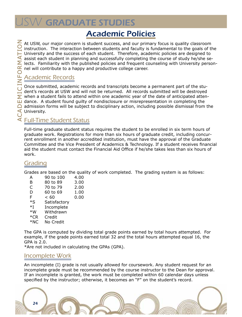# <span id="page-23-0"></span>**SW GRADUATE STUDIES**

### Academic Policies

At USW, our major concern is student success, and our primary focus is quality classroom<br>instruction. The interaction between students and faculty is fundamental to the goals of the instruction. The interaction between students and faculty is fundamental to the goals of the University and the success of each student. Therefore, academic policies are designed to assist each student in planning and successfully completing the course of study he/she se- $\sum$  lects. Familiarity with the published policies and frequent counseling with University personnel will contribute to a happy and productive college career.

#### Academic Records

Once submitted, academic records and transcripts become a permanent part of the student's records at USW and will not be returned. All records submitted will be destroyed when a student fails to attend within one academic year of the date of anticipated atten- $\Box$  dance. A student found quilty of nondisclosure or misrepresentation in completing the  $\Box$  admission forms will be subject to disciplinary action, including possible dismissal from the University.

#### $\leq$  Full-Time Student Status

Full-time graduate student status requires the student to be enrolled in six term hours of graduate work. Registrations for more than six hours of graduate credit, including concurrent enrollment in another accredited institution, must have the approval of the Graduate Committee and the Vice President of Academics & Technology. If a student receives financial aid the student must contact the Financial Aid Office if he/she takes less than six hours of work.

#### Grading

Grades are based on the quality of work completed. The grading system is as follows:

| А                | 90 to 100    | 4.00 |
|------------------|--------------|------|
| в                | 80 to 89     | 3.00 |
| C                | 70 to 79     | 2.00 |
| D                | 60 to 69     | 1.00 |
| F                | < 60         | 0.00 |
| $*_{\mathsf{S}}$ | Satisfactory |      |
| $*I$             | Incomplete   |      |
| $*W$             | Withdrawn    |      |
| $*$ CR           | Credit       |      |
| $*NC$            | No Credit    |      |
|                  |              |      |

The GPA is computed by dividing total grade points earned by total hours attempted. For example, if the grade points earned total 32 and the total hours attempted equal 16, the GPA is 2.0.

\*Are not included in calculating the GPAs (GPA).

#### Incomplete Work

An incomplete (I) grade is not usually allowed for coursework. Any student request for an incomplete grade must be recommended by the course instructor to the Dean for approval. If an incomplete is granted, the work must be completed within 60 calendar days unless specified by the instructor; otherwise, it becomes an "F" on the student's record.

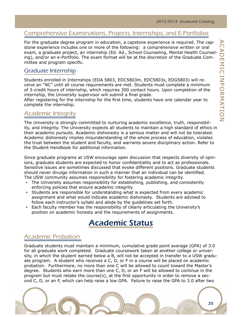#### <span id="page-24-0"></span>Comprehensive Examinations, Projects, Internships, and E-Portfolios

For the graduate degree program in education, a capstone experience is required. The capstone experience includes one or more of the following: a comprehensive written or oral exam, a graduate project, an internship (Ed. Ad., School Counseling, Mental Health Counseling), and/or an e-Portfolio. The exam format will be at the discretion of the Graduate Committee and program specific.

#### Graduate Internship

Students enrolled in Internships (EDA 5803, EDC5803m, EDC5803s, EDG5803) will receive an "NC" until all course requirements are met. Students must complete a minimum of 3-credit hours of internship, which requires 300 contact hours. Upon completion of the internship, the University supervisor will submit a final grade.

After registering for the internship for the first time, students have one calendar year to complete the internship.

#### Academic Integrity

The University is strongly committed to nurturing academic excellence, truth, responsibility, and integrity. The University expects all students to maintain a high standard of ethics in their academic pursuits. Academic dishonesty is a serious matter and will not be tolerated. Academic dishonesty implies misunderstanding of the whole process of education, violates the trust between the student and faculty, and warrants severe disciplinary action. Refer to the Student Handbook for additional information.

Since graduate programs at USW encourage open discussion that respects diversity of opinions, graduate students are expected to honor confidentiality and to act as professionals. Sensitive issues are sometimes discussed that evoke different positions. Graduate students should never divulge information in such a manner that an individual can be identified. The USW community assumes responsibility for fostering academic integrity.

- The University assumes responsibility for establishing, publishing, and consistently enforcing policies that ensure academic integrity.
- Students are responsible for understanding what is expected from every academic assignment and what would indicate academic dishonesty. Students are advised to follow each instructor's syllabi and abide by the guidelines set forth.
- Each faculty member has the responsibility of clearly articulating the University's position on academic honesty and the requirements of assignments.

### Academic Status

#### Academic Probation

Graduate students must maintain a minimum, cumulative grade point average (GPA) of 3.0 for all graduate work completed. Graduate coursework taken at another college or university, in which the student earned below a B, will not be accepted in transfer to a USW graduate program. A student who receives a C, D, or F in a course will be placed on academic probation. Furthermore, no more than one C will be allowed to count toward the Master's degree. Students who earn more than one C, D, or an F will be allowed to continue in the program but must retake the course(s), at the first opportunity in order to remove a second C, D, or an F, which can help raise a low GPA. Failure to raise the GPA to 3.0 after two

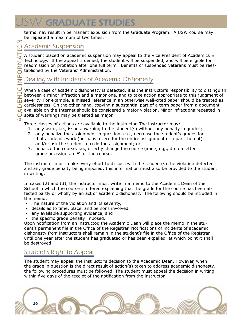terms may result in permanent expulsion from the Graduate Program. A USW course may be repeated a maximum of two times.

#### Academic Suspension

A student placed on academic suspension may appeal to the Vice President of Academics & Technology. If the appeal is denied, the student will be suspended, and will be eligible for readmission on probation after one full term. Benefits of suspended veterans must be reestablished by the Veterans' Administration.

#### Dealing with Incidents of Acedemic Dishonesty

When a case of academic dishonesty is detected, it is the instructor's responsibility to distinguish between a minor infraction and a major one, and to take action appropriate to this judgment of severity. For example, a missed reference in an otherwise well-cited paper should be treated as carelessness. On the other hand, copying a substantial part of a term paper from a document available on the Internet should be considered a major violation. Minor infractions repeated in spite of warnings may be treated as major.

Three classes of actions are available to the instructor. The instructor may:

- 1. only warn, i.e., issue a warning to the student(s) without any penalty in grades;
- 2. only penalize the assignment in question, e.g., decrease the student's grades for that academic work (perhaps a zero for the entire assignment or a part thereof) and/or ask the student to redo the assignment; or
- 3. penalize the course, i.e., directly change the course grade, e.g., drop a letter grade or assign an 'F' for the course.

The instructor must make every effort to discuss with the student(s) the violation detected and any grade penalty being imposed; this information must also be provided to the student in writing.

In cases (2) and (3), the instructor must write in a memo to the Academic Dean of the School in which the course is offered explaining that the grade for the course has been affected partly or wholly by an act of academic dishonesty. The following should be included in the memo:

- The nature of the violation and its severity,
- details as to time, place, and persons involved,
- any available supporting evidence, and
- the specific grade penalty imposed.

Upon notification from an instructor, the Academic Dean will place the memo in the student's permanent file in the Office of the Registrar. Notifications of incidents of academic dishonesty from instructors shall remain in the student's file in the Office of the Registrar until one year after the student has graduated or has been expelled, at which point it shall be destroyed.

#### Student's Right to Appeal

The student may appeal the instructor's decision to the Academic Dean. However, when the grade in question is the direct result of action(s) taken to address academic dishonesty, the following procedures must be followed. The student must appeal the decision in writing within five days of the receipt of the notification from the instructor.

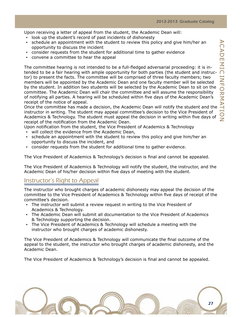Upon receiving a letter of appeal from the student, the Academic Dean will:

- look up the student's record of past incidents of dishonesty
- schedule an appointment with the student to review this policy and give him/her an opportunity to discuss the incident
- consider requests from the student for additional time to gather evidence
- convene a committee to hear the appeal

The committee hearing is not intended to be a full-fledged adversarial proceeding: it is intended to be a fair hearing with ample opportunity for both parties (the student and instructor) to present the facts. The committee will be comprised of three faculty members; two members will be appointed by the Academic Dean and one faculty member will be selected by the student. In addition two students will be selected by the Academic Dean to sit on the committee. The Academic Dean will chair the committee and will assume the responsibility of notifying all parties. A hearing will be scheduled within five days of the Academic Dean's receipt of the notice of appeal.

Once the committee has made a decision, the Academic Dean will notify the student and the instructor in writing. The student may appeal committee's decision to the Vice President of Academics & Technology. The student must appeal the decision in writing within five days of receipt of the notification from the Academic Dean.

Upon notification from the student, the Vice President of Academics & Technology

- will collect the evidence from the Academic Dean,
- schedule an appointment with the student to review this policy and give him/her an opportunity to discuss the incident, and
- consider requests from the student for additional time to gather evidence.

The Vice President of Academics & Technology's decision is final and cannot be appealed.

The Vice President of Academics & Technology will notify the student, the instructor, and the Academic Dean of his/her decision within five days of meeting with the student.

#### Instructor's Right to Appeal

The instructor who brought charges of academic dishonesty may appeal the decision of the committee to the Vice President of Academics & Technology within five days of receipt of the committee's decision.

- The instructor will submit a review request in writing to the Vice President of Academics & Technology.
- The Academic Dean will submit all documentation to the Vice President of Academics & Technology supporting the decision.
- The Vice President of Academics & Technology will schedule a meeting with the instructor who brought charges of academic dishonesty.

The Vice President of Academics & Technology will communicate the final outcome of the appeal to the student, the instructor who brought charges of academic dishonesty, and the Academic Dean.

The Vice President of Academics & Technology's decision is final and cannot be appealed.

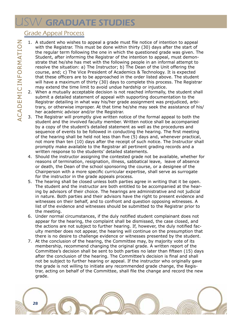# $\mathcal{W}'$  GRADUATE STUDIES

#### Grade Appeal Process

- 1. A student who wishes to appeal a grade must file notice of intention to appeal with the Registrar. This must be done within thirty (30) days after the start of the regular term following the one in which the questioned grade was given. The Student, after informing the Registrar of the intention to appeal, must demonstrate that he/she has met with the following people in an informal attempt to resolve the situation: a) The Instructor; b) The Dean of the Unit offering the course, and; c) The Vice President of Academics & Technology. It is expected that these officers are to be approached in the order listed above. The student will have a maximum of thirty (30) days to complete this process. The Registrar may extend the time limit to avoid undue hardship or injustice.
- 2. When a mutually acceptable decision is not reached informally, the student shall submit a detailed statement of appeal with supporting documentation to the Registrar detailing in what way his/her grade assignment was prejudiced, arbitrary, or otherwise improper. At that time he/she may seek the assistance of his/ her academic advisor and/or the Registrar.
- 3. The Registrar will promptly give written notice of the formal appeal to both the student and the involved faculty member. Written notice shall be accompanied by a copy of the student's detailed statement as well as the procedures and sequence of events to be followed in conducting the hearing. The first meeting of the hearing shall be held not less than five (5) days and, whenever practical, not more than ten (10) days after the receipt of such notice. The Instructor shall promptly make available to the Registrar all pertinent grading records and a written response to the students' detailed statements.
- 4. Should the instructor assigning the contested grade not be available, whether for reasons of termination, resignation, illness, sabbatical leave, leave of absence or death, the Dean of the school sponsoring the course, or a designee of the Chairperson with a more specific curricular expertise, shall serve as surrogate for the instructor in the grade appeals process.
- 5. The hearing shall be closed unless both parties agree in writing that it be open. The student and the instructor are both entitled to be accompanied at the hearing by advisors of their choice. The hearings are administrative and not judicial in nature. Both parties and their advisors have the right to present evidence and witnesses on their behalf, and to confront and question opposing witnesses. A list of the evidence and witnesses should be submitted to the Registrar prior to the meeting.
- 6. Under normal circumstances, if the duly notified student complainant does not appear for the hearing, the complaint shall be dismissed, the case closed, and the actions are not subject to further hearing. If, however, the duly notified faculty member does not appear, the hearing will continue on the presumption that there is no desire to challenge evidence or witnesses presented by the student.
- 7. At the conclusion of the hearing, the Committee may, by majority vote of its membership, recommend changing the original grade. A written report of the Committee's decision shall be sent to both parties no later than fifteen (15) days after the conclusion of the hearing. The Committee's decision is final and shall not be subject to further hearing or appeal. If the instructor who originally gave the grade is not willing to initiate any recommended grade change, the Registrar, acting on behalf of the Committee, shall file the change and record the new grade.

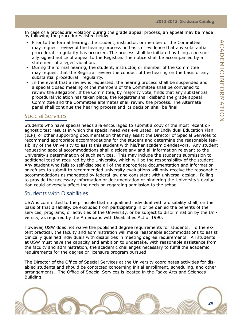In case of a procedural violation during the grade appeal process, an appeal may be made by following the procedures listed below:

- Prior to the formal hearing, the student, instructor, or member of the Committee may request review of the hearing process on basis of evidence that any substantial procedural irregularity has occurred. The process shall be initiated by filing a personally signed notice of appeal to the Registrar. The notice shall be accompanied by a statement of alleged violation.
- During the formal hearing, the student, instructor, or member of the Committee may request that the Registrar review the conduct of the hearing on the basis of any substantial procedural irregularity.
- In the event that a review is requested, the hearing process shall be suspended and a special closed meeting of the members of the Committee shall be convened to review the allegation. If the Committee, by majority vote, finds that any substantial procedural violation has taken place, the Registrar shall disband the grade appeal Committee and the Committee alternates shall review the process. The Alternate panel shall continue the hearing process and its decision shall be final.

#### Special Services

Students who have special needs are encouraged to submit a copy of the most recent diagnostic test results in which the special need was evaluated, an Individual Education Plan (IEP), or other supporting documentation that may assist the Director of Special Services to recommend appropriate accommodations for the student and determine the reasonable feasibility of the University to assist this student with his/her academic endeavors. Any student requesting special accommodations shall disclose any and all information relevant to the University's determination of such services. This may include the student's submission to additional testing required by the University, which will be the responsibility of the student. Any student who fails to self-disclose all of the appropriate documentation and information or refuses to submit to recommended university evaluations will only receive the reasonable accommodations as mandated by federal law and consistent with universal design. Failing to provide the necessary information or documentation or hindering the University's evaluation could adversely affect the decision regarding admission to the school.

#### Students with Disabilities

USW is committed to the principle that no qualified individual with a disability shall, on the basis of that disability, be excluded from participating in or be denied the benefits of the services, programs, or activities of the University, or be subject to discrimination by the University, as required by the Americans with Disabilities Act of 1990.

However, USW does not waive the published degree requirements for students. To the extent practical, the faculty and administration will make reasonable accommodations to assist clinically qualified individuals with disabilities in meeting degree requirements. All students at USW must have the capacity and ambition to undertake, with reasonable assistance from the faculty and administration, the academic challenges necessary to fulfill the academic requirements for the degree or licensure program pursued.

The Director of the Office of Special Services at the University coordinates activities for disabled students and should be contacted concerning initial enrollment, scheduling, and other arrangements. The Office of Special Services is located in the Fadke Arts and Sciences Building.

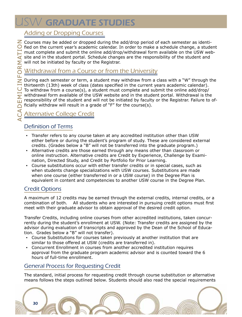# **ISW GRADUATE STUDIES**

#### Adding or Dropping Courses

 $\geq$  Courses may be added or dropped during the add/drop period of each semester as identi- $\bigcirc$  fied on the current year's academic calendar. In order to make a schedule change, a student must complete and submit the online add/drop/withdrawal form available on the USW website and in the student portal. Schedule changes are the responsibility of the student and will not be initiated by faculty or the Registrar.

#### Withdrawal from a Course or from the University

During each semester or term, a student may withdraw from a class with a "W" through the thirteenth (13th) week of class (dates specified in the current years academic calendar). To withdraw from a course(s), a student must complete and submit the online add/drop/ withdrawal form available of the USW website and in the student portal. Withdrawal is the responsibility of the student and will not be initiated by faculty or the Registrar. Failure to officially withdraw will result in a grade of "F" for the course(s).

### Alternative College Credit

#### Definition of Terms

- Transfer refers to any course taken at any accredited institution other than USW either before or during the student's program of study. These are considered external credits. (Grades below a "B" will not be transferred into the graduate program.)
- Alternative credits are those earned through any means other than classroom or online instruction. Alternative credits are Credit by Experience, Challenge by Examination, Directed Study, and Credit by Portfolio for Prior Learning.
- Course substitutions occur with either transfer credits or in special cases, such as when students change specializations with USW courses. Substitutions are made when one course (either transferred in or a USW course) in the Degree Plan is equivalent in content and competencies to another USW course in the Degree Plan.

#### Credit Options

A maximum of 12 credits may be earned through the external credits, internal credits, or a combination of both. All students who are interested in pursuing credit options must first meet with their graduate advisor to obtain approval of the desired credit option.

Transfer Credits, including online courses from other accredited institutions, taken concurrently during the student's enrollment at USW. (Note: Transfer credits are assigned by the advisor during evaluation of transcripts and approved by the Dean of the School of Education. Grades below a "B" will not transfer).

- Course Substitutions for courses taken previously at another institution that are similar to those offered at USW (credits are transferred in).
- Concurrent Enrollment in courses from another accredited institution requires approval from the graduate program academic advisor and is counted toward the 6 hours of full-time enrollment.

#### General Process for Requesting Credit

The standard, initial process for requesting credit through course substitution or alternative means follows the steps outlined below. Students should also read the special requirements

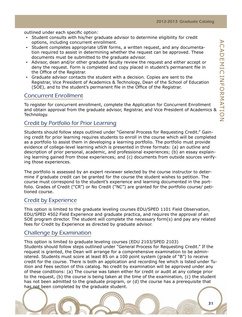outlined under each specific option:

- Student consults with his/her graduate advisor to determine eligibility for credit options, including concurrent enrollment.
- Student completes appropriate USW forms, a written request, and any documentation required to assist in determining whether the request can be approved. These documents must be submitted to the graduate advisor.
- Advisor, dean and/or other graduate faculty review the request and either accept or deny the request. Form is completed and copy placed in student's permanent file in the Office of the Registrar.
- Graduate advisor contacts the student with a decision. Copies are sent to the Registrar, Vice President of Academics & Technology, Dean of the School of Education (SOE), and to the student's permanent file in the Office of the Registrar.

#### Concurrent Enrollment

To register for concurrent enrollment, complete the Application for Concurrent Enrollment and obtain approval from the graduate advisor, Registrar, and Vice President of Academics & Technology.

#### Credit by Portfolio for Prior Learning

Students should follow steps outlined under "General Process for Requesting Credit." Gaining credit for prior learning requires students to enroll in the course which will be completed as a portfolio to assist them in developing a learning portfolio. The portfolio must provide evidence of college-level learning which is presented in three formats: (a) an outline and description of prior personal, academic, and professional experiences; (b) an essay explaining learning gained from those experiences; and (c) documents from outside sources verifying those experiences.

The portfolio is assessed by an expert reviewer selected by the course instructor to determine if graduate credit can be granted for the course the student wishes to petition. The course must correspond to the student's experience and learning documented in the portfolio. Grades of Credit ("CR") or No Credit ("NC") are granted for the portfolio course/ petitioned course.

#### Credit by Experience

This option is limited to the graduate leveling courses EDU/SPED 1101 Field Observation, EDU/SPED 4502 Field Experience and graduate practica, and requires the approval of an SOE program director. The student will complete the necessary form(s) and pay any related fees for Credit by Experience as directed by graduate advisor.

#### Challenge by Examination

This option is limited to graduate leveling courses (EDU 2103/SPED 2103) Students should follow steps outlined under "General Process for Requesting Credit." If the request is granted, the Dean will arrange for a comprehensive examination to be administered. Students must score at least 85 on a 100 point system (grade of "B") to receive credit for the course. There is both an application and recording fee which is listed under Tuition and Fees section of this catalog. No credit by examination will be approved under any of these conditions: (a) The course was taken either for credit or audit at any college prior to the request, (b) the course is being taken at the time of the examination, (c) the student has not been admitted to the graduate program, or (d) the course has a prerequisite that has not been completed by the graduate student.

31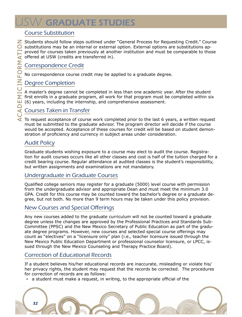# **ISW GRADUATE STUDIES**

#### Course Substitution

 $\mathbb Z$  Students should follow steps outlined under "General Process for Requesting Credit." Course substitutions may be an internal or external option. External options are substitutions approved for courses taken previously at another institution and must be comparable to those offered at USW (credits are transferred in).

#### Correspondence Credit

No correspondence course credit may be applied to a graduate degree.

#### Degree Completion

A master's degree cannot be completed in less than one academic year. After the student first enrolls in a graduate program, all work for that program must be completed within six (6) years, including the internship, and comprehensive assessment.

#### Courses Taken in Transfer

 $\leq$  To request acceptance of course work completed prior to the last 6 years, a written request must be submitted to the graduate advisor. The program director will decide if the course would be accepted. Acceptance of these courses for credit will be based on student demonstration of proficiency and currency in subject areas under consideration.

#### Audit Policy

Graduate students wishing exposure to a course may elect to audit the course. Registration for audit courses occurs like all other classes and cost is half of the tuition charged for a credit bearing course. Regular attendance at audited classes is the student's responsibility, but written assignments and examinations are not mandatory.

#### Undergraduate in Graduate Courses

Qualified college seniors may register for a graduate (5000) level course with permission from the undergraduate advisor and appropriate Dean and must meet the minimum 3.0 GPA. Credit for this course may be counted toward the bachelor's degree or a graduate degree, but not both. No more than 9 term hours may be taken under this policy provision.

#### New Courses and Special Offerings

Any new courses added to the graduate curriculum will not be counted toward a graduate degree unless the changes are approved by the Professional Practices and Standards Sub-Committee (PPSC) and the New Mexico Secretary of Public Education as part of the graduate degree programs. However, new courses and selected special course offerings may count as "electives" on a "licensure only" plan (i.e., teacher licensure issued through the New Mexico Public Education Department or professional counselor licensure, or LPCC, issued through the New Mexico Counseling and Therapy Practice Board).

#### Correction of Educational Records

If a student believes his/her educational records are inaccurate, misleading or violate his/ her privacy rights, the student may request that the records be corrected. The procedures for correction of records are as follows:

▪ a student must make a request, in writing, to the appropriate official of the

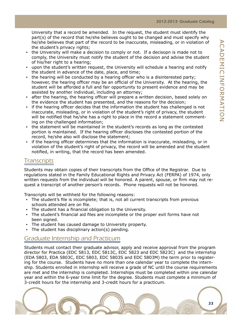University that a record be amended. In the request, the student must identify the part(s) of the record that he/she believes ought to be changed and must specify why he/she believes that part of the record to be inaccurate, misleading, or in violation of the student's privacy rights;

- the University will make a decision to comply or not. If a decisopn is made not to comply, the University must notify the student of the decision and advise the student of his/her right to a hearing;
- upon the student's written request, the University will schedule a hearing and notify the student in advance of the date, place, and time;
- the hearing will be conducted by a hearing officer who is a disinterested party; however, the hearing officer may be an official of the University. At the hearing, the student will be afforded a full and fair opportunity to present evidence and may be assisted by another individual, including an attorney;
- after the hearing, the hearing officer will prepare a written decision, based solely on the evidence the student has presented, and the reasons for the decision;
- if the hearing officer decides that the information the student has challenged is not inaccurate, misleading, or in violation of the student's right of privacy, the student will be notified that he/she has a right to place in the record a statement commenting on the challenged information;
- the statement will be maintained in the student's records as long as the contested portion is maintained. If the hearing officer discloses the contested portion of the record, he/she also will disclose the statement;
- if the hearing officer determines that the information is inaccurate, misleading, or in violation of the student's right of privacy, the record will be amended and the student notified, in writing, that the record has been amended.

#### Transcripts

Students may obtain copies of their transcripts from the Office of the Registrar. Due to regulations stated in the Family Educational Rights and Privacy Act (FERPA) of 1974, only written requests from the individual will be honored. A parent, spouse, or firm may not request a transcript of another person's records. Phone requests will not be honored.

Transcripts will be withheld for the following reasons:

- The student's file is incomplete; that is, not all current transcripts from previous schools attended are on file.
- The student has a financial obligation to the University.
- The student's financial aid files are incomplete or the proper exit forms have not been signed.
- The student has caused damage to University property.
- The student has disciplinary  $action(s)$  pending.

#### Graduate Internship and Practicum

Students must contact their graduate advisor, apply and receive approval from the program director for Practica (EDC 5813, EDC 5813C, EDC 5823 and EDC 5823C) and the internship (EDA 5803, EDA 5803C, EDC 5803, EDC 5803S and EDC 5803M) the term prior to registering for the course. Students have no more than one calendar year to complete the internship. Students enrolled in internship will receive a grade of NC until the course requirements are met and the internship is completed. Internships must be completed within one calendar year and within the 6-year time limit for the degree. Students must complete a minimum of 3-credit hours for the internship and 3-credit hours for a practicum.

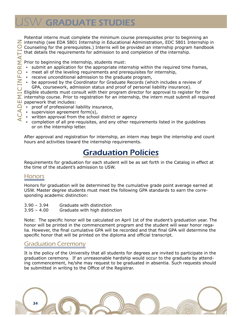# <span id="page-33-0"></span>**SW GRADUATE STUDIES**

Potential interns must complete the minimum course prerequisites prior to beginning an  $\overline{z}$  internship (see EDA 5801 Internship in Educational Administration, EDC 5801 Internship in Counseling for the prerequisites.) Interns will be provided an internship program handbook that details the requirements for admission to and completion of the internship.

Prior to beginning the internship, students must:

- submit an application for the appropriate internship within the required time frames,
- meet all of the leveling requirements and prerequisites for internship,
- receive unconditional admission to the graduate program,
- be approved by the Coordinator for Graduate Records (which includes a review of GPA, coursework, admission status and proof of personal liability insurance).

Eligible students must consult with their program director for approval to register for the internship course. Prior to registration for an internship, the intern must submit all required paperwork that includes:

- proof of professional liability insurance,
- supervision agreement form(s),
- written approval from the school district or agency
- completion of all pre-requisites, and any other requirements listed in the guidelines or on the internship letter.

After approval and registration for internship, an intern may begin the internship and count hours and activities toward the internship requirements.

### Graduation Policies

Requirements for graduation for each student will be as set forth in the Catalog in effect at the time of the student's admission to USW.

#### **Honors**

Honors for graduation will be determined by the cumulative grade point average earned at USW. Master degree students must meet the following GPA standards to earn the corresponding academic distinction:

- 3.90 3.94 Graduate with distinction
- 3.95 4.00 Graduate with high distinction

Note: The specific honor will be calculated on April 1st of the student's graduation year. The honor will be printed in the commencement program and the student will wear honor regalia. However, the final cumulative GPA will be recorded and that final GPA will determine the specific honor that will be printed on the diploma and official transcript.

#### Graduation Ceremony

It is the policy of the University that all students for degrees are invited to participate in the graduation ceremony. If an unreasonable hardship would occur to the graduate by attending commencement, he/she may request to be graduated in absentia. Such requests should be submitted in writing to the Office of the Registrar.

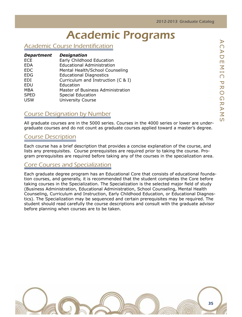# Academic Programs

#### <span id="page-34-0"></span>Academic Course Indentification

| <b>Department</b> | <b>Designation</b>                 |
|-------------------|------------------------------------|
| <b>ECE</b>        | Early Childhood Education          |
| <b>EDA</b>        | <b>Educational Administration</b>  |
| <b>EDC</b>        | Mental Health/School Counseling    |
| <b>EDG</b>        | <b>Educational Diagnostics</b>     |
| EDI               | Curriculum and Instruction (C & I) |
| EDU               | Education                          |
| <b>MBA</b>        | Master of Business Administration  |
| <b>SPED</b>       | <b>Special Education</b>           |
| <b>USW</b>        | <b>University Course</b>           |

#### Course Designation by Number

All graduate courses are in the 5000 series. Courses in the 4000 series or lower are undergraduate courses and do not count as graduate courses applied toward a master's degree.

#### Course Description

Each course has a brief description that provides a concise explanation of the course, and lists any prerequisites. Course prerequisites are required prior to taking the course. Program prerequisites are required before taking any of the courses in the specialization area.

#### Core Courses and Specialization

Each graduate degree program has an Educational Core that consists of educational foundation courses, and generally, it is recommended that the student completes the Core before taking courses in the Specialization. The Specialization is the selected major field of study (Business Administration, Educational Administration, School Counseling, Mental Health Counseling, Curriculum and Instruction, Early Childhood Education, or Educational Diagnostics). The Specialization may be sequenced and certain prerequisites may be required. The student should read carefully the course descriptions and consult with the graduate advisor before planning when courses are to be taken.

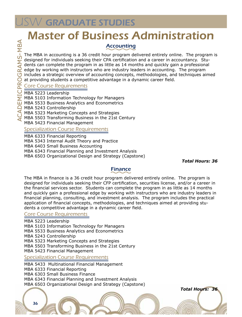# <span id="page-35-0"></span>Master of Business Administration

#### Accounting

The MBA in accounting is a 36 credit hour program delivered entirely online. The program is designed for individuals seeking their CPA certification and a career in accountancy. Students can complete the program in as little as 14 months and quickly gain a professional edge by working with instructors who are industry leaders in accounting. The program includes a strategic overview of accounting concepts, methodologies, and techniques aimed at providing students a competitive advantage in a dynamic career field.

#### Core Course Requirements

MBA 5223 Leadership

ms- MB

 $\blacktriangleleft$ 

- mic Progra MBA 5103 Information Technology for Managers
- Acade MBA 5533 Business Analytics and Econometrics
	- MBA 5243 Controllership
	- MBA 5323 Marketing Concepts and Strategies
	- MBA 5503 Transforming Business in the 21st Century
	- MBA 5423 Financial Management

#### **Specialization Course Requirements**

MBA 6333 Financial Reporting

- MBA 5343 Internal Audit Theory and Practice
- MBA 6403 Small Business Accounting
- MBA 6343 Financial Planning and Investment Analysis
- MBA 6503 Organizational Design and Strategy (Capstone)

*Total Hours: 36* 

 *Total Hours: 36*

#### Finance

The MBA in finance is a 36 credit hour program delivered entirely online. The program is designed for individuals seeking their CFP certification, securities license, and/or a career in the financial services sector. Students can complete the program in as little as 14 months and quickly gain a professional edge by working with instructors who are industry leaders in financial planning, consulting, and investment analysis. The program includes the practical application of financial concepts, methodologies, and techniques aimed at providing students a competitive advantage in a dynamic career field.

#### Core Course Requirements

MBA 5223 Leadership

MBA 5103 Information Technology for Managers

- MBA 5533 Business Analytics and Econometrics
- MBA 5243 Controllership

MBA 5323 Marketing Concepts and Strategies

MBA 5503 Transforming Business in the 21st Century

MBA 5423 Financial Management

**Specialization Course Requirements** 

- MBA 5433 Multinational Financial Management
- MBA 6333 Financial Reporting
- MBA 6303 Small Business Finance
- MBA 6343 Financial Planning and Investment Analysis

MBA 6503 Organizational Design and Strategy (Capstone)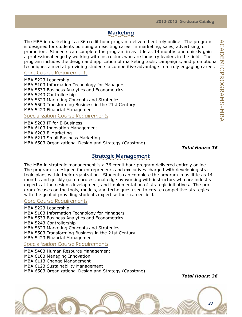# **Marketing**

The MBA in marketing is a 36 credit hour program delivered entirely online. The program is designed for students pursuing an exciting career in marketing, sales, advertising, or promotion. Students can complete the program in as little as 14 months and quickly gain a professional edge by working with instructors who are industry leaders in the field. The program includes the design and application of marketing tools, campaigns, and promotional techniques aimed at providing students a competitive advantage in a truly engaging career.

## Core Course Requirements

MBA 5223 Leadership MBA 5103 Information Technology for Managers MBA 5533 Business Analytics and Econometrics MBA 5243 Controllership MBA 5323 Marketing Concepts and Strategies MBA 5503 Transforming Business in the 21st Century MBA 5423 Financial Management

# **Specialization Course Requirements**

MBA 5203 IT for E-Business MBA 6103 Innovation Management MBA 6203 E-Marketing MBA 6213 Small Business Marketing MBA 6503 Organizational Design and Strategy (Capstone)

 *Total Hours: 36*

## Strategic Management

The MBA in strategic management is a 36 credit hour program delivered entirely online. The program is designed for entrepreneurs and executives charged with developing strategic plans within their organization. Students can complete the program in as little as 14 months and quickly gain a professional edge by working with instructors who are industry experts at the design, development, and implementation of strategic initiatives. The program focuses on the tools, models, and techniques used to create competitive strategies with the goal of providing students expertise their career field.

## Core Course Requirements

MBA 5223 Leadership MBA 5103 Information Technology for Managers MBA 5533 Business Analytics and Econometrics MBA 5243 Controllership MBA 5323 Marketing Concepts and Strategies MBA 5503 Transforming Business in the 21st Century MBA 5423 Financial Management

**Specialization Course Requirements** 

MBA 5403 Human Resource Management

MBA 6103 Managing Innovation

MBA 6113 Change Management

MBA 6123 Sustainability Management

MBA 6503 Organizational Design and Strategy (Capstone)

*Total Hours: 36*

37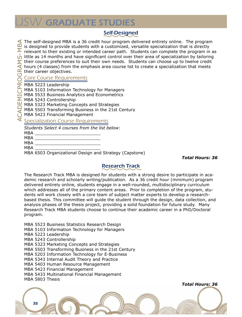# W GRADUATE STUDIES

# Self-Designed

The self-designed MBA is a 36 credit hour program delivered entirely online. The program is designed to provide students with a customized, versatile specialization that is directly relevant to their existing or intended career path. Students can complete the program in as  $\bigcup_{n=1}^{\infty}$  little as 14 months and have significant control over their area of specialization by tailoring little as 14 months and have significant control over their area of specialization by tailoring their course preferences to suit their own needs. Students can choose up to twelve credit hours (4 classes) from the emphasis area course list to create a specialization that meets their career objectives. Core Course Requirements

MBA 5223 Leadership

MBA 5103 Information Technology for Managers

MBA 5533 Business Analytics and Econometrics

MBA 5243 Controllership

MBA 5323 Marketing Concepts and Strategies

MBA 5503 Transforming Business in the 21st Century

MBA 5423 Financial Management

## Specialization Course Requirements

*Students Select 4 courses from the list below:*

MBA \_\_\_\_\_\_\_\_\_\_\_\_\_\_\_\_\_\_\_\_\_\_\_\_\_ MBA \_\_\_\_\_\_\_\_\_\_\_\_\_\_\_\_\_\_\_\_\_\_\_\_\_

MBA \_\_\_\_\_\_\_\_\_\_\_\_\_\_\_\_\_\_\_\_\_\_\_\_\_

MBA \_\_\_\_\_\_\_\_\_\_\_\_\_\_\_\_\_\_\_\_\_\_\_\_\_

MBA 6503 Organizational Design and Strategy (Capstone)

*Total Hours: 36* 

## Research Track

The Research Track MBA is designed for students with a strong desire to participate in academic research and scholarly writing/publication. As a 36 credit hour (minimum) program delivered entirely online, students engage in a well-rounded, multidisciplinary curriculum which addresses all of the primary content areas. Prior to completion of the program, students will work closely with a core team of subject matter experts to develop a researchbased thesis. This committee will guide the student through the design, data collection, and analysis phases of the thesis project, providing a solid foundation for future study. Many Research Track MBA students choose to continue their academic career in a PhD/Doctoral program.

MBA 5523 Business Statistics Research Design

MBA 5103 Information Technology for Managers

MBA 5223 Leadership

MBA 5243 Controllership

MBA 5323 Marketing Concepts and Strategies

MBA 5503 Transforming Business in the 21st Century

MBA 5203 Information Technology for E-Business

MBA 5343 Internal Audit Theory and Practice

MBA 5403 Human Resource Management

MBA 5423 Financial Management

MBA 5433 Multinational Financial Management

MBA 5803 Thesis

38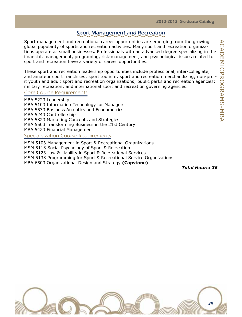## Sport Management and Recreation

Sport management and recreational career opportunities are emerging from the growing global popularity of sports and recreation activities. Many sport and recreation organizations operate as small businesses. Professionals with an advanced degree specializing in the financial, management, programing, risk-management, and psychological issues related to sport and recreation have a variety of career opportunities.

These sport and recreation leadership opportunities include professional, inter-collegiate, and amateur sport franchises; sport tourism; sport and recreation merchandizing; non-profit youth and adult sport and recreation organizations; public parks and recreation agencies; military recreation; and international sport and recreation governing agencies.

## Core Course Requirements

MBA 5223 Leadership MBA 5103 Information Technology for Managers MBA 5533 Business Analutics and Econometrics MBA 5243 Controllership MBA 5323 Marketing Concepts and Strategies MBA 5503 Transforming Business in the 21st Century MBA 5423 Financial Management Specialiazation Course Requirements

MSM 5103 Management in Sport & Recreational Organizations

MSM 5113 Social Psychology of Sport & Recreation

MSM 5123 Law & Liability in Sport & Recreational Services

MSM 5133 Programming for Sport & Recreational Service Organizations

MBA 6503 Organizational Design and Strategy **(Capstone)**

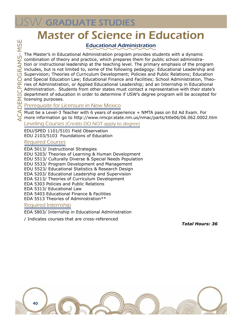# **USW GRADUATE STUDIES**

# Master of Science in Education

# Educational Administration

The Master's in Educational Administration program provides students with a dynamic combination of theory and practice, which prepares them for public school administration or instructional leadership at the teaching level. The primary emphasis of the program includes, but is not limited to, some of the following pedagogy: Educational Leadership and Supervision; Theories of Curriculum Development; Policies and Public Relations; Education and Special Education Law; Educational Finance and Facilities; School Administration, Theories of Administration, or Applied Educational Leadership; and an Internship in Educational Administration. Students from other states must contact a representative with their state's department of education in order to determine if USW's degree program will be accepted for licensing purposes.

## Prerequisite for Licensure in New Mexico

Must be a Level-3 Teacher with 6 years of experience + NMTA pass on Ed Ad Exam. For more information go to http://www.nmcpr.state.nm.us/nmac/parts/title06/06.062.0002.htm

Leveling Courses (Credits DO NOT apply to degree)

EDU/SPED 1101/5101 Field Observation EDU 2103/5103 Foundations of Education

## Required Courses

EDA 5013/ Instructional Strategies EDU 5203/ Theories of Learning & Human Development EDU 5513/ Culturally Diverse & Special Needs Population EDU 5533/ Program Development and Management EDU 5523/ Educational Statistics & Research Design EDA 5203/ Educational Leadership and Supervision EDA 5213/ Theories of Curriculum Development EDA 5303 Policies and Public Relations EDA 5313/ Educational Law EDA 5403 Educational Finance & Facilities EDA 5513 Theories of Administration\*\*

## Required Internship

EDA 5803/ Internship in Educational Administration

/ Indicates courses that are cross-referenced

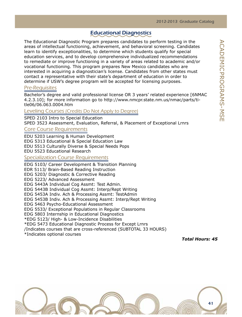## Educational Diagnostics

The Educational Diagnostic Program prepares candidates to perform testing in the areas of intellectual functioning, achievement, and behavioral screening. Candidates learn to identify exceptionalities, to determine which students qualify for special education services, and to develop comprehensive individualized recommendations to remediate or improve functioning in a variety of areas related to academic and/or vocational functioning. This program prepares New Mexico candidates who are interested in acquiring a diagnostician's license. Candidates from other states must contact a representative with their state's department of education in order to determine if USW's degree program will be accepted for licensing purposes.

## Pre-Requisites

Bachelor's degree and valid professional license OR 3 years' related experience [6NMAC 4.2.3.10]; for more information go to http://www.nmcpr.state.nm.us/nmac/parts/title06/06.063.0004.htm

## Leveling Courses (Credits Do Not Apply to Degree)

SPED 2103 Intro to Special Education SPED 3523 Assessment, Evaluation, Referral, & Placement of Exceptional Lrnrs

## Core Course Requirements

EDU 5203 Learning & Human Development EDG 5313 Educational & Special Education Law EDU 5513 Culturally Diverse & Special Needs Pops EDU 5523 Educational Research

## Specialization Course Requirements

EDG 5103/ Career Development & Transition Planning EDR 5113/ Brain-Based Reading Instruction EDG 5203/ Diagnostic & Corrective Reading EDG 5223/ Advanced Assessment EDG 5443A Individual Cog Assmt: Test Admin. EDG 5443B Individual Cog Assmt: Interp/Rept Writing EDG 5453A Indiv. Ach & Processing Assmt: TestAdmin EDG 5453B Indiv. Ach & Processing Assmt: Interp/Rept Writing EDG 5463 Psycho-Educational Assessment EDG 5533/ Exceptional Populations in Regular Classrooms EDG 5803 Internship in Educational Diagnostics \*EDG 5123/ High- & Low-Incidence Disabilities \*EDG 5473 Educational Diagnostic Process for Except Lrnrs /Indicates courses that are cross-referenced (SUBTOTAL 33 HOURS) \*Indicates optional courses

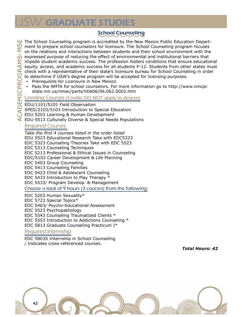# **SW GRADUATE STUDIES**

# School Counseling

The School Counseling program is accredited by the New Mexico Public Education Department to prepare school counselors for licensure. The School Counseling program focuses on the relations and interactions between students and their school environment with the  $\sigma$  expressed purpose of reducing the effect of environmental and institutional barriers that impede student academic success. The profession fosters conditions that ensure educational equity, access, and academic success for all students P-12. Students from other states must check with a representative of their state's licensure bureau for School Counseling in order to determine if USW's degree program will be accepted for licensing purposes.

- **Prerequisite for Licensure in New Mexico**
- Pass the NMTA for school counselors. For more information go to http://www.nmcpr. state.nm.us/nmac/parts/title06/06.062.0002.htm

## Leveling Courses (Credits DO NOT apply to degree)

EDU/1101/5101 Field Observation

SPED/2103/5103 Introduction to Special Education

EDU 5203 Learning & Human Development

 $\leq$  EDU 5513 Culturally Diverse & Special Needs Populations

## Required Courses

*Take the first 4 courses listed in the order listed* EDU 5523 Educational Research Take with EDC5323 EDC 5323 Counseling Theories Take with EDC 5523 EDC 5313 Counseling Techniques EDC 5213 Professional & Ethical Issues in Counseling EDC/5103 Career Development & Life Planning EDC 5403 Group Counseling EDC 5413 Counseling Families EDC 5423 Child & Adolescent Counseling EDC 5433 Introduction to Play Therapy \* EDC 5533/ Program Develop. & Management Choose a total of 9 hours (3 courses) from the following: EDC 5203 Human Sexuality\*

EDC 5723 Special Topics\*

EDC 5463/ Psycho-Educational Assessment

EDC 5523 Psychopathology

EDC 5543 Counseling Traumatized Clients \*

EDC 5553 Introduction to Addictions Counseling \*

EDC 5813 Graduate Counseling Practicum I\*

## Required Internship

EDC 5803S Internship in School Counseling / Indicates cross-referenced courses.

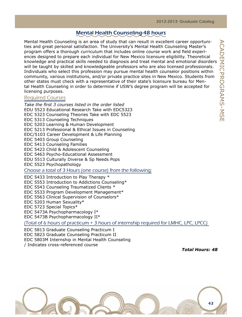## Mental Health Counseling-48 hours

Mental Health Counseling is an area of study that can result in excellent career opportunities and great personal satisfaction. The University's Mental Health Counseling Master's program offers a thorough curriculum that includes online course work and field experiences designed to prepare each individual for New Mexico licensure eligibility. Theoretical knowledge and practical skills needed to diagnosis and treat mental and emotional disorders will be taught by skilled and knowledgeable professors who are also licensed professionals. Individuals who select this profession may pursue mental health counselor positions within community, various institutions, and/or private practice sites in New Mexico. Students from other states must check with a representative of their state's licensure bureau for Mental Health Counseling in order to determine if USW's degree program will be accepted for licensing purposes.

## Required Courses

*Take the first 3 courses listed in the order listed* EDU 5523 Educational Research Take with EDC5323 EDC 5323 Counseling Theories Take with EDC 5523 EDC 5313 Counseling Techniques EDC 5203 Learning & Human Development EDC 5213 Professional & Ethical Issues in Counseling EDC/5103 Career Development & Life Planning EDC 5403 Group Counseling EDC 5413 Counseling Families EDC 5423 Child & Adolescent Counseling EDC 5463 Psycho-Educational Assessment EDU 5513 Culturally Diverse & Sp Needs Pops EDC 5523 Psychopathology Choose a total of 3 Hours (one course) from the following: EDC 5433 Introduction to Play Therapy \* EDC 5553 Introduction to Addictions Counseling\* EDC 5543 Counseling Traumatized Clients \* EDC 5533 Program Development Management\* EDC 5563 Clinical Supervision of Counselors\*

EDC 5203 Human Sexuality\* EDC 5723 Special Topics\*

EDC 5473A Psychopharmacology I\*

EDC 5473B Psychopharmacology II\*

(Total of 6 hours of practicum + 3 hours of internship required for LMHC, LPC, LPCC)

EDC 5813 Graduate Counseling Practicum I EDC 5823 Graduate Counseling Practicum II EDC 5803M Internship in Mental Health Counseling

/ Indicates cross-referenced course

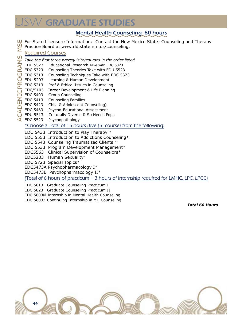# **SW GRADUATE STUDIES**

# Mental Health Counseling- 60 hours

For State Licensure Information: Contact the New Mexico State: Counseling and Therapy

Practice Board at www.rld.state.nm.us/counseling.

## Required Courses

- *Take the first three prerequisite/courses in the order listed*
- EDU 5523 Educational Research Take with EDC 5323
- EDC 5323 Counseling Theories Take with EDU 5523
- EDC 5313 Counseling Techniques Take with EDC 5323
- EDU 5203 Learning & Human Development
- EDC 5213 Prof & Ethical Issues in Counseling
- EDC/5103 Career Development & Life Planning
- EDC 5403 Group Counseling
- EDC 5413 Counseling Families
- EDC 5423 Child & Adolescent Counseling)
- EDC 5463 Psycho-Educational Assessment
- EDU 5513 Culturally Diverse & Sp Needs Pops
- $\triangle$  EDC 5523 Psychopathology

## \*Choose a Total of 15 hours (five [5] course) from the following:

- EDC 5433 Introduction to Play Therapy \*
- EDC 5553 Introduction to Addictions Counseling\*
- EDC 5543 Counseling Traumatized Clients \*
- EDC 5533 Program Development Management\*
- EDC5563 Clinical Supervision of Counselors\*
- EDC5203 Human Sexuality\*
- EDC 5723 Special Topics\*

EDC5473A Psychopharmacology I\*

EDC5473B Psychopharmacology II\*

(Total of 6 hours of practicum + 3 hours of internship required for LMHC, LPC, LPCC)

- EDC 5813 Graduate Counseling Practicum I
- EDC 5823 Graduate Counseling Practicum II
- EDC 5803M Internship in Mental Health Counseling
- EDC 5803Z Continuing Internship in MH Counseling

*Total 60 Hours*



ms- MSE RAMS-MS mic Progra  $\overline{C}$  $\breve{\bigcirc}$ **CADEMICPR**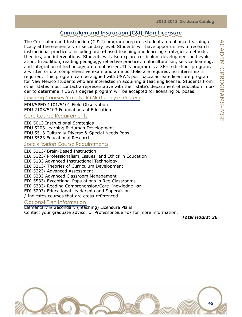# Curriculum and Instruction (C&I): Non-Licensure

The Curriculum and Instruction (C & I) program prepares students to enhance teaching efficacy at the elementary or secondary level. Students will have opportunities to research instructional practices, including brain-based teaching and learning strategies, methods, theories, and interventions. Students will also explore curriculum development and evaluation. In addition, reading pedagogy, reflective practice, multiculturalism, service learning, and integration of technology are emphasized. This program is a 36-credit-hour program; a written or oral comprehensive exam and an e portfolio are required, no internship is required. This program can be aligned with USW's post baccalaureate licensure program for New Mexico students who are interested in acquiring a teaching license. Students from other states must contact a representative with their state's department of education in order to determine if USW's degree program will be accepted for licensing purposes.

## Leveling Courses (Credits DO NOT apply to degree)

EDU/SPED 1101/5101 Field Observation EDU 2103/5103 Foundations of Education

## Core Course Requirements

EDI 5013 Instructional Strategies

EDU 5203 Learning & Human Development

EDU 5513 Culturally Diverse & Special Needs Pops

EDU 5523 Educational Research

## Specialization Course Requirements

EDI 5113/ Brain-Based Instruction

EDI 5123/ Professionalism, Issues, and Ethics in Education

EDI 5133 Advanced Instructional Technology

EDI 5213/ Theories of Curriculum Development

EDI 5223/ Advanced Assessment

EDI 5233 Advanced Classroom Management

EDI 5533/ Exceptional Populations in Reg Classrooms

EDI 5333/ Reading Comprehension/Core Knowledge **-or-**

EDI 5203/ Educational Leadership and Supervision

/ Indicates courses that are cross-referenced

## Optional Plan Information

Elementary & Secondary (Teaching) Licensure Plans

Contact your graduate advisor or Professor Sue Fox for more information.

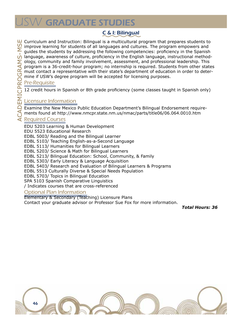# **SW GRADUATE STUDIES**

# C & I: Bilingual

Curriculum and Instruction: Bilingual is a multicultural program that prepares students to  $\Omega$  improve learning for students of all languages and cultures. The program empowers and guides the students by addressing the following competencies: proficiency in the Spanish language, awareness of culture, proficiency in the English language, instructional methodology, community and family involvement, assessment, and professional leadership. This program is a 36-credit-hour program; no internship is required. Students from other states must contact a representative with their state's department of education in order to determine if USW's degree program will be accepted for licensing purposes.

## Pre-Requisite

12 credit hours in Spanish or 8th grade proficiency (some classes taught in Spanish only)

## Licensure Information

Examine the New Mexico Public Education Department's Bilingual Endorsement requirements found at http://www.nmcpr.state.nm.us/nmac/parts/title06/06.064.0010.htm

## Required Courses

EDU 5203 Learning & Human Development

EDU 5523 Educational Research

EDBL 5003/ Reading and the Bilingual Learner

EDBL 5103/ Teaching English-as-a-Second Language

EDBL 5113/ Humanities for Bilingual Learners

EDBL 5203/ Science & Math for Bilingual Learners

EDBL 5213/ Bilingual Education: School, Community, & Family

EDBL 5303/ Early Literacy & Language Acquisition

EDBL 5403/ Research and Evaluation of Bilingual Learners & Programs

EDBL 5513 Culturally Diverse & Special Needs Population

EDBL 5703/ Topics in Bilingual Education

SPA 5103 Spanish Comparative Linguistics

/ Indicates courses that are cross-referenced

## Optional Plan Information

Elementary & Secondary (Teaching) Licensure Plans

Contact your graduate advisor or Professor Sue Fox for more information.

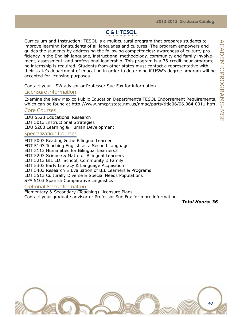# C & I: TESOL

Curriculum and Instruction: TESOL is a multicultural program that prepares students to improve learning for students of all languages and cultures. The program empowers and guides the students by addressing the following competencies: awareness of culture, proficiency in the English language, instructional methodology, community and family involvement, assessment, and professional leadership. This program is a 36-credit-hour program; no internship is required. Students from other states must contact a representative with their state's department of education in order to determine if USW's degree program will be accepted for licensing purposes.

Contact your USW advisor or Professor Sue Fox for information

## Licensure Information

Examine the New Mexico Public Education Department's TESOL Endorsement Requirements, which can be found at http://www.nmcpr.state.nm.us/nmac/parts/title06/06.064.0011.htm

## Core Courses

EDU 5523 Educational Research EDT 5013 Instructional Strategies EDU 5203 Learning & Human Development

## Specialization Courses

EDT 5003 Reading & the Bilingual Learner EDT 5103 Teaching English as a Second Language EDT 5113 Humanities for Bilingual Learners3 EDT 5203 Science & Math for Bilingual Learners EDT 5213 BIL ED: School, Community & Family EDT 5303 Early Literacy & Language Acquisition EDT 5403 Research & Evaluation of BIL Learners & Programs EDT 5513 Culturally Diverse & Special Needs Populations SPA 5103 Spanish Comparative Linguistics

#### Optional Plan Information

Elementary & Secondary (Teaching) Licensure Plans Contact your graduate advisor or Professor Sue Fox for more information.



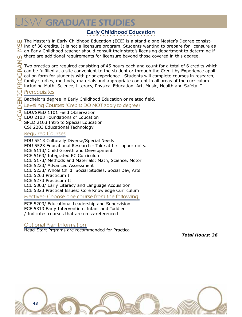# **SW GRADUATE STUDIES**

# Early Childhood Education

The Master's in Early Childhood Education (ECE) is a stand-alone Master's Degree consist- $\Omega$  ing of 36 credits. It is not a licensure program. Students wanting to prepare for licensure as  $\sum$  an Early Childhood teacher should consult their state's licensing department to determine if  $\frac{1}{\sqrt{2}}$  there are additional requirements for licensure beyond those covered in this degree. Two practica are required consisting of 45 hours each and count for a total of 6 credits which can be fulfilled at a site convenient to the student or through the Credit by Experience application form for students with prior experience. Students will complete courses in research, family studies, methods, materials and appropriate content in all areas of the curriculum

including Math, Science, Literacy, Physical Education, Art, Music, Health and Safety. T

## **Prerequisites**

Bachelor's degree in Early Childhood Education or related field.

Leveling Courses (Credits DO NOT apply to degree)

EDU/SPED 1101 Field Observation EDU 2103 Foundations of Education SPED 2103 Intro to Special Education CSI 2203 Educational Technology

## Required Courses

EDU 5513 Culturally Diverse/Special Needs EDU 5523 Educational Research - Take at first opportunity. ECE 5113/ Child Growth and Development ECE 5163/ Integrated EC Curriculum ECE 5173/ Methods and Materials: Math, Science, Motor ECE 5223/ Advanced Assessment ECE 5233/ Whole Child: Social Studies, Social Dev, Arts ECE 5263 Practicum I ECE 5273 Practicum II ECE 5303/ Early Literacy and Language Acquisition ECE 5323 Practical Issues: Core Knowledge Curriculum

Electives- Choose one course from the following:

ECE 5203/ Educational Leadership and Supervision ECE 5313 Early Intervention: Infant and Toddler / Indicates courses that are cross-referenced

## Optional Plan Information

Head-Start Prgrams are recommended for Practica

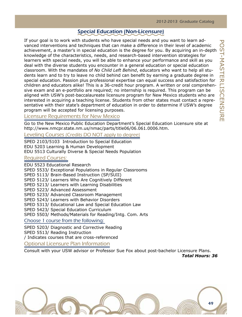## Special Education (Non-Licensure)

If your goal is to work with students who have special needs and you want to learn advanced interventions and techniques that can make a difference in their level of academic achievement, a master's in special education is the degree for you. By acquiring an in-depth knowledge of the characteristics, needs, and research-based intervention strategies for learners with special needs, you will be able to enhance your performance and skill as you deal with the diverse students you encounter in a general education or special education classroom. With the mandates of *No Child Left Behind*, educators who want to help all students learn and to try to leave no child behind can benefit by earning a graduate degree in special education. Passion plus professional expertise can equal success and satisfaction for children and educators alike! This is a 36-credit hour program. A written or oral comprehensive exam and an e-portfolio are required; no internship is required. This program can be aligned with USW's post-baccalaureate licensure program for New Mexico students who are interested in acquiring a teaching license. Students from other states must contact a representative with their state's department of education in order to determine if USW's degree program will be accepted for licensing purposes.

## Licensure Requirements for New Mexico

Go to the New Mexico Public Education Department's Special Education Licensure site at http://www.nmcpr.state.nm.us/nmac/parts/title06/06.061.0006.htm.

## Leveling Courses (Credits DO NOT apply to degree)

SPED 2103/5103 Introduction to Special Education EDU 5203 Learning & Human Development EDU 5513 Culturally Diverse & Special Needs Population

## Required Courses:

EDU 5523 Educational Research SPED 5533/ Exceptional Populations in Regular Classrooms SPED 5113/ Brain-Based Instruction (SP/SUII) SPED 5123/ Learners Who Are Cognitively Different SPED 5213/ Learners with Learning Disabilities SPED 5223/ Advanced Assessment SPED 5233/ Advanced Classroom Management SPED 5243/ Learners with Behavior Disorders SPED 5313/ Educational Law and Special Education Law SPED 5423/ Special Education Curriculum SPED 5503/ Methods/Materials for Reading/Intg. Com. Arts Choose 1 course from the following: SPED 5203/ Diagnostic and Corrective Reading

SPED 5513/ Reading Instruction

/ Indicates courses that are cross-referenced

Optional Licensure Plan Information

Consult with your USW advisor or Professor Sue Fox about post-bachelor Licensure Plans. *Total Hours: 36*

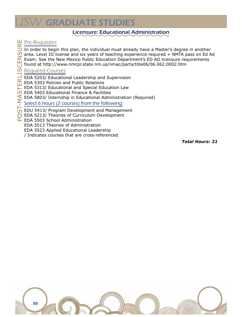# $\mathcal V$  GRADUATE STUDIES

## Licensure: Educational Administration

## Pre-Requisties

- ure In order to begin this plan, the individual must already have a Master's degree in another area. Level III license and six years of teaching experience required + NMTA pass on Ed Ad
- **SCENS** Exam. See the New Mexico Public Education Department's ED AD licensure requirements
	- found at http://www.nmcpr.state.nm.us/nmac/parts/title06/06.062.0002.htm

## Required Courses

- RLI. EDA 5203/ Educational Leadership and Supervision
- EDA 5303 Policies and Public Relations Ш
- EDA 5313/ Educational and Special Education Law
- EDA 5403 Educational Finance & Facilities
- Post-Master Lis  $AM-$ EDA 5803/ Internship in Educational Administration (Required)

## Select 6 hours (2 courses) from the following:

- EDU 5413/ Program Development and Management
- ◯ EDA 5213/ Theories of Curriculum Development
- L EDA 5503 School Administration
	- EDA 5513 Theories of Administration
	- EDA 5523 Applied Educational Leadership
	- / Indicates courses that are cross-referenced

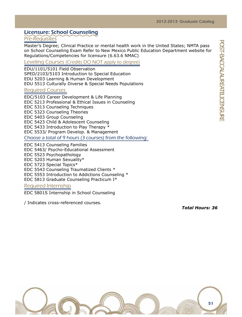## Licensure: School Counseling

## Pre-Requisites

Master's Degree; Clinical Practice or mental health work in the United States; NMTA pass on School Counseling Exam Refer to New Mexico Public Education Department website for Regulations/Competencies for licensure (6.63.6 NMAC)

Leveling Courses (Credits DO NOT apply to degree)

EDU/1101/5101 Field Observation SPED/2103/5103 Introduction to Special Education EDU 5203 Learning & Human Development EDU 5513 Culturally Diverse & Special Needs Populations

## Required Courses

EDC/5103 Career Development & Life Planning EDC 5213 Professional & Ethical Issues in Counseling EDC 5313 Counseling Techniques EDC 5323 Counseling Theories EDC 5403 Group Counseling EDC 5423 Child & Adolescent Counseling EDC 5433 Introduction to Play Therapy \* EDC 5533/ Program Develop. & Management

Choose a total of 9 hours (3 courses) from the following:

EDC 5413 Counseling Families EDC 5463/ Psycho-Educational Assessment EDC 5523 Psychopathology EDC 5203 Human Sexuality\* EDC 5723 Special Topics\* EDC 5543 Counseling Traumatized Clients \* EDC 5553 Introduction to Addictions Counseling \* EDC 5813 Graduate Counseling Practicum I\* Required Internship

EDC 5801S Internship in School Counseling

/ Indicates cross-referenced courses.

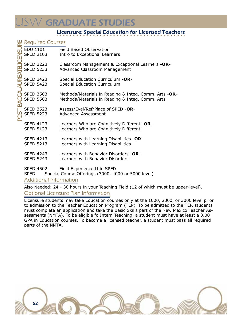# **SW GRADUATE STUDIES**

## Licensure: Special Education for Licensed Teachers

| <b>Required Courses</b>                                    |                          |                                                       |  |  |
|------------------------------------------------------------|--------------------------|-------------------------------------------------------|--|--|
|                                                            |                          | Field Based Observation                               |  |  |
| <b>D</b><br>EDU 1101<br>SPED 2103<br>D<br><b>SPED 2103</b> |                          | Intro to Exceptional Learners                         |  |  |
| <b>SPED 3223</b>                                           |                          | Classroom Management & Exceptional Learners -OR-      |  |  |
| <b>SPED 5233</b>                                           |                          | <b>Advanced Classroom Management</b>                  |  |  |
| <b>SPED 3423</b>                                           |                          | Special Education Curriculum -OR-                     |  |  |
|                                                            | <b>SPED 5423</b>         | Special Education Curriculum                          |  |  |
| <b>SPED 3503</b>                                           |                          | Methods/Materials in Reading & Integ. Comm. Arts -OR- |  |  |
|                                                            | <b>SPED 5503</b>         | Methods/Materials in Reading & Integ. Comm. Arts      |  |  |
|                                                            | <b>SPED 3523</b>         | Assess/Eval/Ref/Place of SPED -OR-                    |  |  |
|                                                            | $\overline{9}$ SPED 5223 | <b>Advanced Assessment</b>                            |  |  |
|                                                            | <b>SPED 4123</b>         | Learners Who are Cognitively Different -OR-           |  |  |
|                                                            | <b>SPED 5123</b>         | Learners Who are Cognitively Different                |  |  |
|                                                            | <b>SPED 4213</b>         | Learners with Learning Disabilities -OR-              |  |  |
| <b>SPED 5213</b>                                           |                          | Learners with Learning Disabilities                   |  |  |
|                                                            | <b>SPED 4243</b>         | Learners with Behavior Disorders -OR-                 |  |  |
| <b>SPED 5243</b>                                           |                          | Learners with Behavior Disorders                      |  |  |
|                                                            | <b>SPED 4502</b>         | Field Experience II in SPED                           |  |  |
| SPED                                                       |                          | Special Course Offerings (3000, 4000 or 5000 level)   |  |  |

## Additional Information

Also Needed: 24 - 36 hours in your Teaching Field (12 of which must be upper-level). Optional Licensure Plan Information

Licensure students may take Education courses only at the 1000, 2000, or 3000 level prior to admission to the Teacher Education Program (TEP). To be admitted to the TEP, students must complete an application and take the Basic Skills part of the New Mexico Teacher Assessments (NMTA). To be eligible fo Intern Teaching, a student must have at least a 3.00 GPA in Education courses. To become a licensed teacher, a student must pass all required parts of the NMTA.

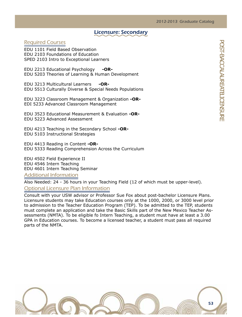## Licensure: Secondary

## Required Courses

EDU 1101 Field Based Observation EDU 2103 Foundations of Education SPED 2103 Intro to Exceptional Learners

EDU 2213 Educational Psychology **-OR-**EDU 5203 Theories of Learning & Human Development

EDU 3213 Multicultural Learners **-OR-**EDU 5513 Culturally Diverse & Special Needs Populations

EDU 3223 Classroom Management & Organization **-OR-**EDI 5233 Advanced Classroom Management

EDU 3523 Educational Measurement & Evaluation **-OR-**EDU 5223 Advanced Assessment

EDU 4213 Teaching in the Secondary School **-OR-**EDU 5103 Instructional Strategies

EDU 4413 Reading in Content **-OR-**EDU 5333 Reading Comprehension Across the Curriculum

EDU 4502 Field Experience II EDU 4546 Intern Teaching EDU 4601 Intern Teaching Seminar

Additional Information

Also Needed: 24 - 36 hours in your Teaching Field (12 of which must be upper-level). Optional Licensure Plan Information

Consult with your USW advisor or Professor Sue Fox about post-bachelor Licensure Plans. Licensure students may take Education courses only at the 1000, 2000, or 3000 level prior to admission to the Teacher Education Program (TEP). To be admitted to the TEP, students must complete an application and take the Basic Skills part of the New Mexico Teacher Assessments (NMTA). To be eligible fo Intern Teaching, a student must have at least a 3.00 GPA in Education courses. To become a licensed teacher, a student must pass all required parts of the NMTA.

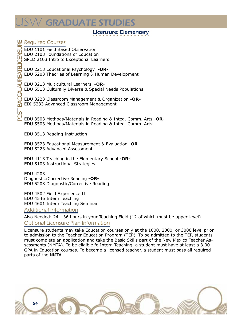# $\mathsf{W}\mathsf{C}\mathsf{R}\mathsf{ADUATE}$  STUDIES

## Licensure: Elementary

## Required Courses

EDU 1101 Field Based Observation EDU 2103 Foundations of Education SPED 2103 Intro to Exceptional Learners

EDU 2213 Educational Psychology **-OR-**EDU 5203 Theories of Learning & Human Development

EDU 3213 Multicultural Learners **-OR**-EDU 5513 Culturally Diverse & Special Needs Populations

EDU 3223 Classroom Management & Organization **-OR-**EDI 5233 Advanced Classroom Management

EDU 3503 Methods/Materials in Reading & Integ. Comm. Arts **-OR-**EDU 5503 Methods/Materials in Reading & Integ. Comm. Arts

EDU 3513 Reading Instruction

EDU 3523 Educational Measurement & Evaluation **-OR-**EDU 5223 Advanced Assessment

EDU 4113 Teaching in the Elementary School **-OR-**EDU 5103 Instructional Strategies

EDU 4203 Diagnostic/Corrective Reading **-OR-**EDU 5203 Diagnostic/Corrective Reading

EDU 4502 Field Experience II EDU 4546 Intern Teaching EDU 4601 Intern Teaching Seminar

Additional Information

Also Needed: 24 - 36 hours in your Teaching Field (12 of which must be upper-level). Optional Licensure Plan Information

Licensure students may take Education courses only at the 1000, 2000, or 3000 level prior to admission to the Teacher Education Program (TEP). To be admitted to the TEP, students must complete an application and take the Basic Skills part of the New Mexico Teacher Assessments (NMTA). To be eligible fo Intern Teaching, a student must have at least a 3.00 GPA in Education courses. To become a licensed teacher, a student must pass all required parts of the NMTA.

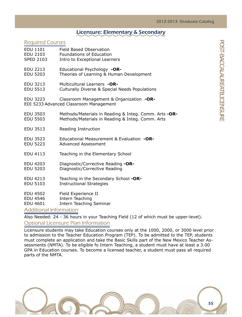## Licensure: Elementary & Secondary

## Required Courses

| EDU 1101         | Field Based Observation                                                            |
|------------------|------------------------------------------------------------------------------------|
| <b>EDU 2103</b>  | <b>Foundations of Education</b>                                                    |
| <b>SPED 2103</b> | Intro to Exceptional Learners                                                      |
| EDU 2213         | Educational Psychology -OR-                                                        |
| <b>EDU 5203</b>  | Theories of Learning & Human Development                                           |
| EDU 3213         | Multicultural Learners -OR-                                                        |
| <b>EDU 5513</b>  | Culturally Diverse & Special Needs Populations                                     |
| EDU 3223         | Classroom Management & Organization -OR-<br>EDI 5233 Advanced Classroom Management |
| EDU 3503         | Methods/Materials in Reading & Integ. Comm. Arts -OR-                              |
| <b>EDU 5503</b>  | Methods/Materials in Reading & Integ. Comm. Arts                                   |
| EDU 3513         | Reading Instruction                                                                |
| EDU 3523         | Educational Measurement & Evaluation -OR-                                          |
| EDU 5223         | <b>Advanced Assessment</b>                                                         |
| EDU 4113         | Teaching in the Elementary School                                                  |
| EDU 4203         | Diagnostic/Corrective Reading -OR-                                                 |
| <b>EDU 5203</b>  | Diagnostic/Corrective Reading                                                      |
| EDU 4213         | Teaching in the Secondary School -OR-                                              |
| EDU 5103         | <b>Instructional Strategies</b>                                                    |
| EDU 4502         | Field Experience II                                                                |
| EDU 4546         | Intern Teaching                                                                    |
| EDU 4601         | Intern Teaching Seminar                                                            |
|                  |                                                                                    |

## Additional Information

Also Needed: 24 - 36 hours in your Teaching Field (12 of which must be upper-level). Optional Licensure Plan Information

Licensure students may take Education courses only at the 1000, 2000, or 3000 level prior to admission to the Teacher Education Program (TEP). To be admitted to the TEP, students must complete an application and take the Basic Skills part of the New Mexico Teacher Assessments (NMTA). To be eligible fo Intern Teaching, a student must have at least a 3.00 GPA in Education courses. To become a licensed teacher, a student must pass all required parts of the NMTA.

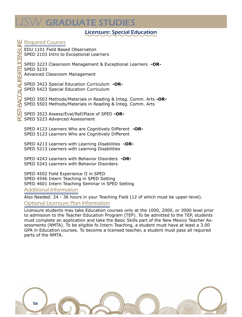# ${\cal W}$  GRADUATE STUDIES

## Licensure: Special Education

## Required Courses

EDU 1101 Field Based Observation SPED 2103 Intro to Exceptional Learners

SPED 3223 Classroom Management & Exceptional Learners **-OR-**SPED 5233

Advanced Classroom Management

SPED 3423 Special Education Curriculum **-OR-**SPED 5423 Special Education Curriculum

SPED 3503 Methods/Materials in Reading & Integ. Comm. Arts **-OR-**SPED 5503 Methods/Materials in Reading & Integ. Comm. Arts

SPED 3523 Assess/Eval/Ref/Place of SPED **-OR-**SPED 5223 Advanced Assessment

SPED 4123 Learners Who are Cognitively Different **-OR-**SPED 5123 Learners Who are Cognitively Different

SPED 4213 Learners with Learning Disabilities **-OR-**SPED 5213 Learners with Learning Disabilities

SPED 4243 Learners with Behavior Disorders **-OR-**SPED 5243 Learners with Behavior Disorders

SPED 4502 Field Experience II in SPED SPED 4546 Intern Teaching in SPED Setting SPED 4601 Intern Teaching Seminar in SPED Setting

Additional Information

Also Needed: 24 - 36 hours in your Teaching Field (12 of which must be upper-level). Optional Licensure Plan Information

Licensure students may take Education courses only at the 1000, 2000, or 3000 level prior to admission to the Teacher Education Program (TEP). To be admitted to the TEP, students must complete an application and take the Basic Skills part of the New Mexico Teacher Assessments (NMTA). To be eligible fo Intern Teaching, a student must have at least a 3.00 GPA in Education courses. To become a licensed teacher, a student must pass all required parts of the NMTA.

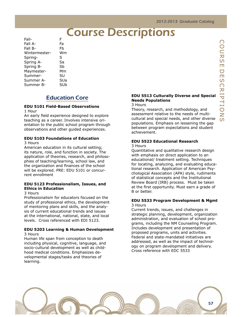# **Course Descriptions**

Fall A- Fa Fall B- Fb Wintermester- Wm Spring- $\mathbf{S}$ Spring ASa Spring B- Sb Maymester- Mm Summer- SU Summer A-<br>Summer B- SUb Summer B-

# Education Core

## **EDU 5101 Field-Based Observations**

1 Hour

An early field experience designed to explore teaching as a career. Involves intensive orientation to the public school program through observations and other guided experiences.

#### **EDU 5103 Foundations of Education** 3 Hours

American education in its cultural setting; its nature, role, and function in society. The application of theories, research, and philosophies of teaching/learning, school law, and the organization and finances of the school will be explored. PRE: EDU 5101 or concurrent enrollment

#### **EDU 5123 Professionalism, Issues, and Ethics in Education**

#### 3 Hours

Professionalism for educators focused on the study of professional ethics, the development of mentoring plans and skills, and the analysis of current educational trends and issues at the international, national, state, and local levels. Cross referenced with EDI 5123.

## **EDU 5203 Learning & Human Development**

3 Hours

Human life span from conception to death including physical, cognitive, language, and socio-cultural development as well as childhood medical conditions. Emphasizes developmental stages/tasks and theories of learning.

#### **EDU 5513 Culturally Diverse and Special Needs Populations**

#### 3 Hours

Theory, research, and methodology, and assessment relative to the needs of multicultural and special needs, and other diverse populations. Emphasis on lessening the gap between program expectations and student achievement.

#### **EDU 5523 Educational Research**  3 Hours

Quantitative and qualitative research design with emphasis on direct application to an educational/ treatment setting. Techniques for locating, analyzing, and evaluating educational research. Application of American Psychological Association (APA) style, rudiments of statistical concepts and the Institutional Review Board (IRB) process. Must be taken at the first opportunity. Must earn a grade of B or better.

#### **EDU 5533 Program Development & Mgmt** 3 Hours

Current trends, issues, and challenges in strategic planning, development, organization administration, and evaluation of school programs, including the NM Counseling Program. Includes development and presentation of proposed programs, units and activities. Federal and state-mandated initiatives are addressed, as well as the impact of technology on program development and delivery. Cross reference with EDC 5533

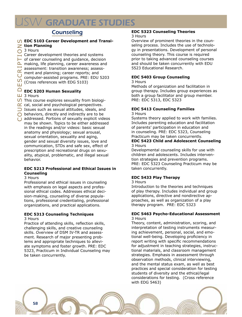# W GRADUATE STUDIES

# Counseling

#### **EDC 5103 Career Development and Transition Planning**

## O 3 Hours

 $\Box$  Career development theories and systems  $\blacktriangleright$  of career counseling and guidance, decision  $\Delta$  making, life planning, career awareness and assessment: transition awareness; assessment and planning; career reports; and computer-assisted programs. PRE: EDU 5203 (Cross references with EDG 5103)

## **EDC 5203 Human Sexuality**

- $\bigcirc$  This course explores sexuality from biologi-
- $\alpha$  cal, social and psychological perspectives.
- $\supset$  Issues such as sexual attitudes, ideals, and
- ◯ behaviors, directly and indirectly are to be
- **O** behaviors, directly and indirectly are to be<br>**O** addressed. Portions of sexually explicit videos may be shown. Topics to be either addressed in the readings and/or videos: basic sexual anatomy and physiology; sexual arousal, sexual orientation, sexuality and aging, gender and sexual diversity issues, love and communication, STDs and safe sex, effect of prescription and recreational drugs on sexuality, atypical, problematic, and illegal sexual behavior.

#### **EDC 5213 Professional and Ethical Issues in Counseling**

#### 3 Hours

Professional and ethical issues in counseling with emphasis on legal aspects and professional ethical codes. Addresses ethical decision-making, counseling of diverse populations, professional credentialing, professional organizations, and practical applications.

## **EDC 5313 Counseling Techniques**

#### 3 Hours

Practice of attending skills, reflection skills, challenging skills, and creative counseling skills. Overview of DSM IV-TR and assessment. Research of major presenting problems and appropriate techniques to alleviate symptoms and foster growth. PRE: EDC 5323, Practicum in Individual Counseling may be taken concurrently.

## **EDC 5323 Counseling Theories**

#### 3 Hours

Overview of prominent theories in the counseling process. Includes the use of technology in presentations. Development of personal counseling theory. This course is required prior to taking advanced counseling courses and should be taken concurrently with EDU 5523 Educational Research.

## **EDC 5403 Group Counseling**

#### 3 Hours

Methods of organization and facilitation in group therapy. Includes group experiences as both a group facilitator and group member. PRE: EDC 5313, EDC 5323

## **EDC 5413 Counseling Families**

### 3 Hours

Systems theory applied to work with families. Includes parenting education and facilitation of parents' participation in education and in counseling. PRE: EDC 5323, Counseling Practicum may be taken concurrently. **EDC 5423 Child and Adolescent Counseling**

# 3 Hours

Developmental counseling skills for use with children and adolescents. Includes intervention strategies and prevention programs. PRE: EDC 5323 Counseling Practicum may be taken concurrently.

## **EDC 5433 Play Therapy**

#### 3 Hours

Introduction to the theories and techniques of play therapy. Includes individual and group applications, directive and nondirective approaches, as well as organization of a play therapy program. PRE: EDC 5323

#### **EDC 5463 Psycho-Educational Assessment**  3 Hours

Theory, content, administration, scoring, and interpretation of testing instruments measuring achievement, personal, social, and emotional well-being. Developing proficiency in report writing with specific recommendations for adjustment in teaching strategies, instructional materials, and classroom management strategies. Emphasis in assessment through observation methods, clinical interviewing, and the mental status exam, as well as best practices and special consideration for testing students of diversity and the ethical/legal considerations for testing. (Cross reference with EDG 5463)



 $\frac{1}{\sqrt{2}}$  3 Hours<br>  $\frac{1}{\sqrt{2}}$  This counting the Call social social social social social social social social social social social social social social social social social social social social social social social so D<sub>ES</sub> cr i pt ions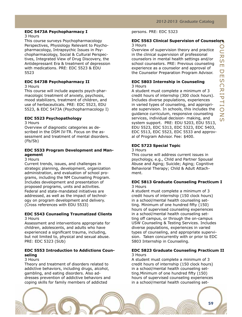#### **EDC 5473A Psychopharmacy I**

#### 3 Hours

This course surveys Psychopharmacology Perspectives, Physiology Relevant to Psychopharmacology, Intrapsychic Issues in Psychopharmacology, Social & Cultural Perspectives, Integrated View of Drug Discovery, the Antidepressant Era & treatment of depression with medications. PRE: EDC 5523 & EDU 5523

## **EDC 5473B Psychopharmacy II**

3 Hours

This course will include aspects psych-pharmacologic treatment of anxiety, psychosis, mood stabilizers, treatment of children, and use of herbaceuticals. PRE: EDC 5523, EDU 5523, & EDC 5473A (Psychopharmacology I)

#### **EDC 5523 Psychopathology**

3 Hours

Overview of diagnostic categories as described in the DSM IV-TR. Focus on the assessment and treatment of mental disorders. (Fb/Sb)

#### **EDC 5533 Program Development and Management**

3 Hours

Current trends, issues, and challenges in strategic planning, development, organization administration, and evaluation of school programs, including the NM Counseling Program. Includes development and presentation of proposed programs, units and activities. Federal and state-mandated initiatives are addressed, as well as the impact of technology on program development and delivery. (Cross references with EDU 5533)

#### **EDC 5543 Counseling Traumatized Clients** 3 Hours

Assessment and interventions appropriate for children, adolescents, and adults who have experienced a significant trauma, including, but not limited to, physical and sexual abuse. PRE: EDC 5323 (SUb)

#### **EDC 5553 Introduction to Addictions Counseling**

#### 3 Hours

Theory and treatment of disorders related to addictive behaviors, including drugs, alcohol, gambling, and eating disorders. Also addresses prevention of addictive behaviors and coping skills for family members of addicted

#### persons. PRE: EDC 5323

#### **EDC 5563 Clinical Supervision of Counselors** 3 Hours

Overview of supervision theory and practice in the clinical supervision of professional counselors in mental health settings and/or school counselors. PRE: Previous counseling experience as a counselor and approval of the Counselor Preparation Program Advisor.

#### **EDC 5803 Internship in Counseling** 3 Hours

A student must complete a minimum of 3 credit hours of internship (300 clock hours). Includes diverse populations, experiences in varied types of counseling, and appropriate supervision. In schools, this includes the guidance curriculum, responsive counseling services, individual decision- making, and system support. PRE: EDU 5203, EDU 5513, EDU 5523, EDC 5313, EDC 5323, EDC 5403, EDC 5513, EDC 5523, EDC 5533 and approval of Program Advisor. Fee: \$400.

#### **EDC 5723 Special Topic**

#### 3 Hours

This course will address current issues in psychology, e.g., Child and Partner Spousal Abuse and Aging; Suicide; Aging; Cognitive Behavioral Therapy; Child & Adult Attachment.

#### **EDC 5813 Graduate Counseling Practicum I** 3 Hours

A student must complete a minimum of 3 credit hours of internship (150 clock hours) in a school/mental health counseling setting. Minimum of one hundred fifty (150) hours of supervised counseling experiences in a school/mental health counseling setting off campus, or through the on-campus USW Counseling & Testing Services. Includes diverse populations, experiences in varied types of counseling, and appropriate supervision. Taken concurrently with or prior to EDC 5803 Internship in Counseling.

#### **EDC 5823 Graduate Counseling Practicum II** 3 Hours

A student must complete a minimum of 3 credit hours of internship (150 clock hours) in a school/mental health counseling setting.Minimum of one hundred fifty (150) hours of supervised counseling experiences in a school/mental health counseling set-

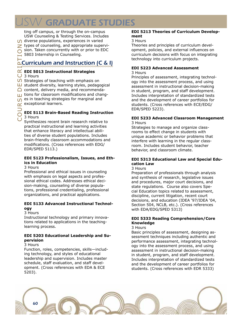# W GRADUATE STUDIES

ting off campus, or through the on-campus USW Counseling & Testing Services. Includes  $\bigcap$  diverse populations, experiences in varied  $\geq$  types of counseling, and appropriate supervision. Taken concurrently with or prior to EDC 5803 Internship in Counseling.

# Curriculum and Instruction (C & I)

#### **EDI 5013 Instructional Strategies**

3 Hours

**S** Strategies of teaching with emphasis on<br>  $\Box$  student diversity, learning styles, pedago<br>  $\Box$  content, delivery media, and recommenc  $\Box$  student diversity, learning styles, pedagogical

 $\bigcap$  content, delivery media, and recommenda-

urse tions for classroom modifications and chang-<br>  $\Omega$  es in teaching strategies for marginal and<br>  $\alpha$  exceptional learners. es in teaching strategies for marginal and

exceptional learners.

#### **EDI 5113 Brain-Based Reading Instruction** 3 Hours

Synthesizes recent brain research relative to practical instructional and learning activities that enhance literacy and intellectual abilities of diverse student populations. Includes brain-friendly classroom accommodations and modifications. (Cross references with EDG/ EDR/SPED 5113.)

#### **EDI 5123 Professionalism, Issues, and Ethics in Education**

#### 3 Hours

Professional and ethical issues in counseling with emphasis on legal aspects and professional ethical codes. Addresses ethical decision-making, counseling of diverse populations, professional credentialing, professional organizations, and practical applications.

#### **EDI 5133 Advanced Instructional Technology**

#### 3 Hours

Instructional technology and primary innovations related to applications in the teachinglearning process.

#### **EDI 5203 Educational Leadership and Supervision**

#### 3 Hours

Function, roles, competencies, skills—including technology, and styles of educational leadership and supervision. Includes master schedule, staff evaluation, and staff development. (Cross references with EDA & ECE 5203).

#### **EDI 5213 Theories of Curriculum Development**

#### 3 Hours

Theories and principles of curriculum development, policies, and external influences on curriculum decisions with focus on integrating technology into curriculum projects.

## **EDI 5223 Advanced Assessment**

#### 3 Hours

Principles of assessment, integrating technology into the assessment process, and using assessment in instructional decision-making in student, program, and staff development. Includes interpretation of standardized tests and the development of career portfolios for students. (Cross references with ECE/EDG/ EDR/SPED 5223).

# **EDI 5233 Advanced Classroom Management**

3 Hours

Strategies to manage and organize classrooms to effect change in students with unique academic or behavior problems that interfere with learning in the regular classroom. Includes student behavior, teacher behavior, and classroom climate.

## **EDI 5313 Educational Law and Special Education Law**

3 Hours

Preparation of professionals through analysis and synthesis of research, legislative issues and procedures, major court decisions, and state regulations. Course also covers Special Education topics related to assessment, discipline, current litigation, recent court decisions, and education (IDEA '97/IDEA '04, Section 504, NCLB, etc.). (Cross references with EDA/EDG/SPED 5313)

#### **EDI 5333 Reading Comprehension/Core Knowledge**

#### 3 Hours

Basic principles of assessment, designing assessment techniques including authentic and performance assessment, integrating technology into the assessment process, and using assessment in instructional decision-making in student, program, and staff development. Includes interpretation of standardized tests and the development of career portfolios for students. (Cross references with EDR 5333)

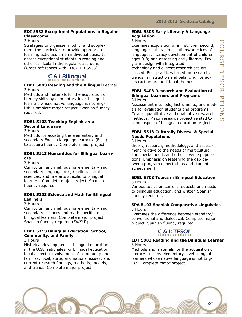#### **EDI 5533 Exceptional Populations in Regular Classrooms**

#### 3 Hours

Strategies to organize, modify, and supplement the curricula; to provide appropriate learning activities on an individual basis; to assess exceptional students in reading and other curricula in the regular classroom. (Cross references with EDG/EDR 5533)

## C & I Bilingual

#### **EDBL 5003 Reading and the Bilingual** Learner 3 Hours

Methods and materials for the acquisition of literacy skills by elementary-level bilingual learners whose native language is not English. Complete major project. Spanish fluency required.

#### **EDBL 5103 Teaching English-as-a-Second Language**

3 Hours

Methods for assisting the elementary and secondary English language learners. (ELLs) to acquire fluency. Complete major project.

#### **EDBL 5113 Humanities for Bilingual Learners**

#### 3 Hours

Curriculum and methods for elementary and secondary language arts, reading, social sciences, and fine arts specific to bilingual learners. Complete major project. Spanish fluency required.

#### **EDBL 5203 Science and Math for Bilingual Learners**

#### 3 Hours

Curriculum and methods for elementary and secondary sciences and math specific to bilingual learners. Complete major project. Spanish fluency required (FA/SUI)

#### **EDBL 5213 Bilingual Education: School, Community, and Family**

#### 3 Hours

Historical development of bilingual education in the U.S.; rationales for bilingual education; legal aspects; involvement of community and families; local, state, and national issues; and current research findings, methods, models, and trends. Complete major project.

#### **EDBL 5303 Early Literacy & Language Acquisition**

#### 3 Hours

Examines acquisition of a first, then second, language; cultural implications/practices of languages; literacy development of children ages 0-8; and assessing early literacy. Program design with integrated

technology and current research are discussed. Best practices based on research, trends in instruction and balancing literacy instruction are additional themes.

#### **EDBL 5403 Research and Evaluation of Bilingual Learners and Programs** 3 Hours

Assessment methods, instruments, and models for evaluation students and programs. Covers quantitative and qualitative research methods. Major research project related to some aspect of bilingual education project.

## **EDBL 5513 Culturally Diverse & Special Needs Populations**

## 3 Hours

theory, research, methodology, and assessment relative to the needs of multicultural and special needs and other diverse populations. Emphasis on lessening the gap between program expectations and student achievement.

#### **EDBL 5703 Topics in Bilingual Education** 3 Hours

Various topics on current requests and needs to bilingual education. and written Spanish fluency required.

#### **SPA 5103 Spanish Comparative Linguistics** 3 Hours

Examines the difference between standard/ conventional and dialectical. Complete major project. Spanish fluency required.



#### **EDT 5003 Reading and the Bilingual Learner** 3 Hours

Methods and materials for the acquisition of literacy skills by elementary-level bilingual learners whose native language is not English. Complete major project.

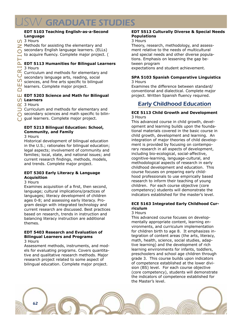#### **EDT 5103 Teaching English-as-a-Second Language**

CO 3 Hours

 $\geq$  Methods for assisting the elementary and

secondary English language learners. (ELLs)

to acquire fluency. Complete major project. (

## **EDT 5113 Humanities for Bilingual Learners**

3 Hours

 $\Omega$  sciences, and fine arts specific to bilingual<br> $\Box$  learners. Complete major project.  $\Gamma$  3 Hours<br> $\alpha$  Curriculum and methods for elementary and methods for elementary and secondary language arts, reading, social Curriculum and methods for elementary and

learners. Complete major project.

# —<br>□ EDT 5203 Science and Math for Bilingual<br>○ Learners<br>○ Curriculum and methods for elementary and **EDT 5203 Science and Math for Bilingual**

## **Learners**

 $\alpha$  3 Hours

◯ secondary sciences and math specific to bilin-

Co gual learners. Complete major project.

## **EDT 5213 Bilingual Education: School, Community, and Family**

3 Hours

Historical development of bilingual education in the U.S.; rationales for bilingual education; legal aspects; involvement of community and families; local, state, and national issues; and current research findings, methods, models, and trends. Complete major project.

#### **EDT 5303 Early Literacy & Language Acquisition**

#### 3 Hours

Examines acquisition of a first, then second, language; cultural implications/practices of languages; literacy development of children ages 0-8; and assessing early literacy. Program design with integrated technology and current research are discussed. Best practices based on research, trends in instruction and balancing literacy instruction are additional themes.

#### **EDT 5403 Research and Evaluation of Bilingual Learners and Programs** 3 Hours

Assessment methods, instruments, and models for evaluating programs. Covers quantitative and qualitative research methods. Major research project related to some aspect of bilingual education. Complete major project.

#### **EDT 5513 Culturally Diverse & Special Needs Populations**

#### 3 Hours

Theory, research, methodology, and assessment relative to the needs of multicultural and special needs and other diverse populations. Emphasis on lessening the gap between program expectations and student achievement.

#### **SPA 5103 Spanish Comparative Linguistics** 3 Hours

Examines the difference between standard/ conventional and dialectical. Complete major project. Written Spanish fluency required.

# Early Childhood Education

#### **ECE 5113 Child Growth and Development** 3 Hours

This advanced course in child growth, development and learning builds upon the foundational materials covered in the basic course in child growth, development and learning. An integration of major theories of child development is provided by focusing on contemporary research in all aspects of development, including bio-ecological, social-affective, cognitive-learning, language-cultural, and methodological aspects of research in early childhood development and education. This course focuses on preparing early childhood professionals to use empirically based research to inform their teaching of young children. For each course objective (core competency) students will demonstrate the indicators established for the master's level.

## **ECE 5163 Integrated Early Childhood Curriculum**

## 3 Hours

This advanced course focuses on developmentally appropriate content, learning environments, and curriculum implementation for children birth to age 8. It emphasizes integration of content areas (the arts, literacy, math, health, science, social studies, adaptive learning) and the development of rich learning environments for infants, toddlers, preschoolers and school age children through grade 3. This course builds upon indicators of competence established at the lower division (BS) level. For each course objective (core competency), students will demonstrate the indicators of competence established for the Master's level.

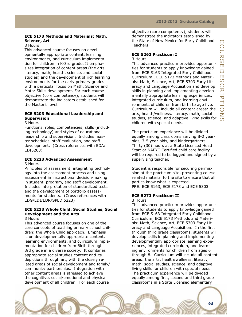#### **ECE 5173 Methods and Materials: Math, Science, Art**

#### 3 Hours

This advanced course focuses on developmentally appropriate content, learning environments, and curriculum implementation for children in K-3rd grade. It emphasizes integration of content areas (the arts, literacy, math, health, science, and social studies) and the development of rich learning environments for the early primary grades with a particular focus on Math, Science and Motor Skills development. For each course objective (core competency), students will demonstrate the indicators established for the Master's level.

#### **ECE 5203 Educational Leadership and Supervision**

#### 3 Hours

Functions, roles, competencies, skills (including technology) and styles of educational leadership and supervision. Includes master schedules, staff evaluation, and staff development. (Cross references with EDA/ EDI5203)

#### **ECE 5223 Advanced Assessment**

#### 3 Hours

Principles of assessment, integrating technology into the assessment process and using assessment in instructional decision-making in student, program, and staff development. Includes interpretation of standardized tests and the development of portfolio assessments for students. (Cross references with EDG/EDI/EDR/SPED 5223)

#### **ECE 5233 Whole Child: Social Studies, Social Development and the Arts**

#### 3 Hours

This advanced course focuses on one of the core concepts of teaching primary school children: the Whole Child approach. Emphasis is on developmentally appropriate content, learning environments, and curriculum implementation for children from Birth through 3rd grade in a diverse society. It combines appropriate social studies content and its depictions through art, with the closely related areas of social development and family/ community partnerships. Integration with other content areas is stressed to achieve the cognitive, social/emotional and physical development of all children. For each course

objective (core competency), students will demonstrate the indicators established by the State of New Mexico for Early Childhood Teachers.

## **ECE 5263 Practicum I**

#### 3 Hours

This advanced practicum provides opportunities for students to apply knowledge gained from ECE 5163 Integrated Early Childhood Curriculum , ECE 5173 Methods and Materials: Math, Science, Art, ECE 5303 Early Literacy and Language Acquisition and develop skills in planning and implementing developmentally appropriate learning experiences, integrated curriculum, and learning environments of children from birth to age five. Curriculum will include all content areas: the arts, health/wellness, literacy, math, social studies, science, and adaptive living skills for children with special needs.

The practicum experience will be divided equally among classrooms serving B-2 yearolds, 3-5 year-olds, and kindergartners. Thirty (30) hours at a State Licensed Head Start or NAEYC Certified child care facility will be required to be logged and signed by a supervising teacher.

Student is responsible for securing permission at the practicum site, presenting course related material to the site to ensure that all parties know what is expected. PRE: ECE 5163, ECE 5173 and ECE 5303

#### **ECE 5273 Practicum II**

#### 3 Hours

This advanced practicum provides opportunities for students to apply knowledge gained from ECE 5163 Integrated Early Childhood Curriculum, ECE 5173 Methods and Materials: Math, Science, Art, ECE 5303 Early Literacy and Language Acquisition. In the first through third grade classrooms, students will develop skills in planning and implementing developmentally appropriate learning experiences, integrated curriculum, and learning environments for children from ages 6 through 8. Curriculum will include all content areas: the arts, health/wellness, literacy, math, social studies, science, and adaptive living skills for children with special needs. The practicum experience will be divided equally among first, second and third grade classrooms in a State Licensed elementary

63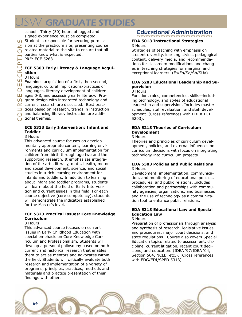# W GRADUATE STUDIES

school. Thirty (30) hours of logged and signed experience must be completed. Student is responsible for securing permis-

 $\geq$  sion at the practicum site, presenting course

related material to the site to ensure that all

parties know what is expected.

PRE: ECE 5263

## **ECE 5303 Early Literacy & Language Acquisition**

### 3 Hours

C and balancing I<br>C tional themes. <del>■ anyaages, meracy development of ematers<br> **■** ages 0-8, and assessing early literacy. Pro-<br> **O** gram design with integrated technology and<br>  $\alpha$  current research are discussed. Best prac-<br>
D tices based on research, t</del>  $\Pi$  Examines acquisition of a first, then second,<br>  $\Pi$  language, cultural implications/practices of<br>  $\Omega$  languages, literacy development of children language, cultural implications/practices of languages, literacy development of children LU ages 0-8, and assessing early literacy. Pro- $\bigcirc$  gram design with integrated technology and  $\alpha$  current research are discussed. Best pracand balancing literacy instruction are addi-

### **ECE 5313 Early Intervention: Infant and Toddler**

## 3 Hours

This advanced course focuses on developmentally appropriate content, learning environments and curriculum implementation for children from birth through age two and the supporting research. It emphasizes integration of the arts, literacy, math, health, motor and social development, science, and social studies in a rich learning environment for infants and toddlers. In addition to learning about infant and toddler programs, students will learn about the field of Early Intervention and current issues in this field. For each course objective (core competency), students will demonstrate the indicators established for the Master's level.

## **ECE 5323 Practical Issues: Core Knowledge Curriculum**

#### 3 Hours

This advanced course focuses on current issues in Early Childhood Education with special emphasis on Core Knowledge Curriculum and Professionalism. Students will develop a personal philosophy based on both current and historical research that enables them to act as mentors and advocates within the field. Students will critically evaluate both research and implementation of a variety of programs, principles, practices, methods and materials and practice presentation of their findings with others.

# Educational Administration

#### **EDA 5013 Instructional Strategies** 3 Hours

Strategies of teaching with emphasis on student diversity, learning styles, pedagogical content, delivery media, and recommendations for classroom modifications and changes in teaching strategies for marginal and exceptional learners. (Fa/Fb/Sa/Sb/SUa)

## **EDA 5203 Educational Leadership and Supervision**

#### 3 Hours

Function, roles, competencies, skills—including technology, and styles of educational leadership and supervision. Includes master schedules, staff evaluation, and staff development. (Cross references with EDI & ECE 5203).

## **EDA 5213 Theories of Curriculum Development**

#### 3 Hours

Theories and principles of curriculum development, policies, and external influences on curriculum decisions with focus on integrating technology into curriculum projects.

#### **EDA 5303 Policies and Public Relations** 3 Hours

Development, implementation, communication, and monitoring of educational policies, procedures, and public relations. Includes collaboration and partnerships with community agencies, organizations, and businesses and the use of technology as a communication tool to enhance public relations.

#### **EDA 5313 Educational Law and Special Education Law**

#### 3 Hours

Preparation of professionals through analysis and synthesis of research, legislative issues and procedures, major court decisions, and state regulations. Course also covers Special Education topics related to assessment, discipline, current litigation, recent court decisions, and education. (IDEA '97/IDEA '04, Section 504, NCLB, etc.). (Cross references with EDG/EDI/SPED 5313)

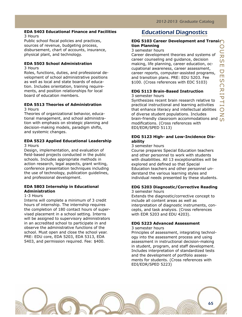urse

E<br>S

cr i

#### **EDA 5403 Educational Finance and Facilities** 3 Hours

Public school fiscal policies and practices, sources of revenue, budgeting process, disbursement, chart of accounts, insurance, physical plant, and technology.

#### **EDA 5503 School Administration**

3 Hours

Roles, functions, duties, and professional development of school administrative positions as well as local and state boards of education. Includes orientation, training requirements, and position relationships for local board of education members.

#### **EDA 5513 Theories of Administration** 3 Hours

Theories of organizational behavior, educational management, and school administration with emphasis on strategic planning and decision-making models, paradigm shifts, and systemic changes.

#### **EDA 5523 Applied Educational Leadership** 3 Hours

Design, implementation, and evaluation of field-based projects conducted in the public schools. Includes appropriate methods in action research, legal aspects, grant writing, conference presentation techniques including the use of technology, publication guidelines, and professional development.

#### **EDA 5803 Internship in Educational Administration**

1-3 Hours

Interns will complete a minimum of 3 credit hours of internship. The internship requires the completion of 180 contact hours of supervised placement in a school setting. Interns will be assigned to supervisory administrators in an accredited school to participate in and observe the administrative functions of the school. Must open and close the school year. PRE: EDU core, EDA 5203, EDA 5313, EDA 5403, and permission required. Fee: \$400.

# Educational Diagnostics

#### $\bigcirc$ **EDG 5103 Career Development and Transition Planning**

#### 3 semester hours

Career development theories and systems of career counseling and guidance, decision making, life planning, career education, occupational awareness, career assessment, career reports, computer-assisted programs, and transition plans. PRE: EDU 5203. Fee \$100. (Cross references with EDC 5103)

#### **EDG 5113 Brain-Based Instruction** 3 semester hours

p<br>H ions Synthesizes recent brain research relative to practical instructional and learning activities that enhance literacy and intellectual abilities of diverse student populations. Includes brain-friendly classroom accommodations and modifications. (Cross references with EDI/EDR/SPED 5113)

#### **EDG 5123 High- and Low-Incidence Disability**

3 semester hours

Course prepares Special Education teachers and other personnel to work with students with disabilities. All 13 exceptionalities will be explored and defined so that Special Education teachers and other personnel understand the various learning styles and individual needs presented by these students.

## **EDG 5203 Diagnostic/Corrective Reading**

3 semester hours

Extends the diagnostic/corrective concept to include all content areas as well as interpretation of diagnostic instruments, concepts, and task analysis. (Cross references with EDR 5203 and EDU 4203).

#### **EDG 5223 Advanced Assessment**

3 semester hours

Principles of assessment, integrating technology into the assessment process and using assessment in instructional decision-making in student, program, and staff development. Includes interpretation of standardized tests and the development of portfolio assessments for students. (Cross references with EDI/EDR/SPED 5223)

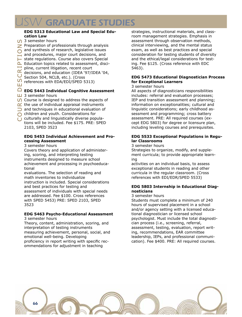# SW GRADUATE STUDIES

#### **EDG 5313 Educational Law and Special Education Law**

- <sup>1</sup> 3 semester hours
- $\geq$  Preparation of professionals through analysis
- **and synthesis of research, legislative issues**
- $\overline{a}$  and procedures, major court decisions, and
- $\blacktriangleright$  state regulations. Course also covers Special
- L Education topics related to assessment, disci
	- pline, current litigation, recent court
- pline, current litigation, recent completed decisions, and education (IDEA '<br>Consistent 504, NCLB, etc.). (Cross decisions, and education (IDEA '97/IDEA '04,
	-
	- references with EDA/EDI/SPED 5313)

# **M** references with EDA/EDI/SPED 5313)<br>|<br>|-<br>| EDG 5443 Individual Cognitive Assessment

- 3 semester hours
- $\Box$  3 semester hours<br>  $\Box$  3 semester hours<br>  $\Box$  Course is designed to address the aspects of<br>  $\Box$  and techniques in educational evaluation of Course is designed to address the aspects of
- $\alpha'$  the use of individual appraisal instruments
	-
- children and youth. Considerations for
- C children and youth. Considerations for<br>C culturally and linguistically diverse populations will be included. Fee \$175. PRE: SPED 2103, SPED 3523

#### **EDG 5453 Individual Achievement and Processing Assessment**

3 semester hours

Covers theory and application of administering, scoring, and interpreting testing instruments designed to measure school achievement and processing in psychoeducational

evaluations. The selection of reading and math inventories to individualize instruction is included. Special considerations and best practices for testing and assessment of individuals with special needs are addressed. Fee \$100. Cross references with SPED 5453) PRE: SPED 2103, SPED 3523

## **EDG 5463 Psycho-Educational Assessment**

3 semester hours

Theory, content, administration, scoring, and interpretation of testing instruments measuring achievement, personal, social, and emotional well-being. Developing proficiency in report writing with specific recommendations for adjustment in teaching

strategies, instructional materials, and classroom management strategies. Emphasis in assessment through observation methods, clinical interviewing, and the mental status exam, as well as best practices and special consideration for testing students of diversity and the ethical/legal considerations for testing. Fee \$125. (Cross reference with EDC 5463).

## **EDG 5473 Educational Diagnostician Process for Exceptional Learners**

#### 3 semester hours

All aspects of diagnosticians responsibilities includes: referral and evaluation processes; IEP and transition assessment and planning; information on exceptionalities; cultural and linguistic considerations; early childhood assessment and programming; cross battery assessment. PRE: All required courses (except EDG 5803) for degree or licensure plan, including leveling courses and prerequisites.

#### **EDG 5533 Exceptional Populations in Regular Classrooms**

3 semester hours

Strategies to organize, modify, and supplement curricula; to provide appropriate learning

activities on an individual basis, to assess exceptional students in reading and other curricula in the regular classroom. (Cross references with EDI/EDR/SPED 5533)

#### **EDG 5803 Internship in Educational Diagnosticians**

#### 3 semester hours

Students must complete a minimum of 240 hours of supervised placement in a school and/or agency setting with a licensed educational diagnostician or licensed school psychologist. Must include the total diagnostician process (i.e., screening, referral, assessment, testing, evaluation, report writing, recommendations, EAR committee leadership, IEPs, and professional communication). Fee \$400. PRE: All required courses.

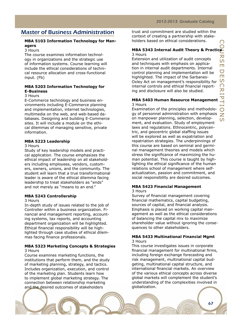# Master of Business Administration

#### **MBA 5103 Information Technology for Managers**

#### 3 Hours

The course examines information technology in organizations and the strategic use of information systems. Course learning will include the ethical considerations of technical resource allocation and cross-functional input. (Fb)

#### **MBA 5203 Information Technology for E-Business**

#### 3 Hours

E-Commerce technology and business environments including E-Commerce planning and implementation, internet technologies, multimedia on the web, and web-based databases. Designing and building E-Commerce sites. It will include a module on the ethical dilemmas of managing sensitive, private information.

#### **MBA 5223 Leadership**

#### 3 Hours

Study of key leadership models and practical application. The course emphasizes the ethical impact of leadership on all stakeholders including employees, vendors, customers, owners, unions, and the community. The student will learn that a true transformational leader is aware of the ethical dilemma facing leadership to treat stakeholders as "ends" and not merely as "means to an end."

#### **MBA 5243 Controllership**

#### 3 Hours

In-depth study of issues related to the job of Controller within a business organization. Financial and management reporting, accounting systems, tax reports, and accounting department organization will be highlighted. Ethical financial responsibility will be highlighted through case studies of ethical dilemmas facing finance professionals.

#### **MBA 5323 Marketing Concepts & Strategies** 3 Hours

Course examines marketing functions, the institutions that perform them, and the study of marketing planning, strategy, and tactics. Includes organization, execution, and control of the marketing plan. Students learn how to implement global marketing strategy. The connection between relationship marketing and the desired outcomes of stakeholders

trust and commitment are studied within the context of creating a partnership with stakeholders based on ethical considerations.

#### **MBA 5343 Internal Audit Theory & Practice** 3 Hours

Extension and utilization of audit concepts and techniques with emphasis on application in internal audit departments. Internal control planning and implementation will be highlighted. The impact of the Sarbanes-Oxley Act on management's responsibility for internal controls and ethical financial reporting and disclosure will also be studied.

#### **MBA 5403 Human Resource Management** 3 Hours

Examination of the principles and methodology of personnel administration with emphasis on manpower planning, selection, development, and evaluation. Study of employment laws and regulations. Ethnocentric, polycentric, and geocentric global staffing issues will be explored as well as expatriation and repatriation strategies. The underpinnings of this course are based on seminal and germinal management theories and models which stress the significance of maximizing the human potential. This course is taught by highlighting the ethical significance of the human relations school of management where selfactualization, passion and commitment, and social responsibility are desired outcomes.

## **MBA 5423 Financial Management**

#### 3 Hours

Survey of financial management covering financial mathematics, capital budgeting, sources of capital, and financial analysis. Emphasis is placed on working capital management as well as the ethical considerations of balancing the capital mix to maximize shareholder value without ignoring the consequences to other stakeholders.

#### **MBA 5433 Multinational Financial Mgmt** 3 Hours

This course investigates issues in corporate financial management for multinational firms, including foreign exchange forecasting and risk management, multinational capital budgeting, multinational capital structure, and international financial markets. An overview of the various ethical concepts across diverse global markets will complement the student's understanding of the complexities involved in globalization.

67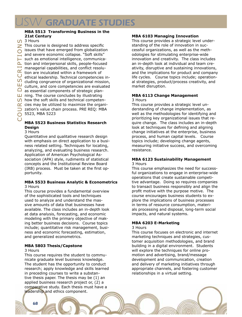#### **MBA 5513 Transforming Business in the 21st Century**

CO 3 Hours

● 5523, MBA 5223<br>●  $\Box$  as essential components or strategic plan-<br> $\Box$  ning. The course concludes by illustrating<br> $\Omega$  how the soft skills and technical competen-<br> $\Delta$  cies may be utilized to maximize the organi-<br> $\Box$  zation's value chain  $\Box$  cluding congruence of organizational mission,<br> $\Box$  culture, and core competencies are evaluated<br> $\Box$  as essential components of strategic planmanagerial capabilities, and conflict resolution are inculcated within a framework of  $\overline{C}$  athical leadership. Technical competencies  $\geq$  This course is designed to address specific  $\overline{O}$  issues that have emerged from globalization and severe economic collapse. "Soft skills" such as emotional intelligence, communica- $\triangle$  tion and interpersonal skills, people-focused managerial capabilities, and conflict resoluethical leadership. Technical competencies inculture, and core competencies are evaluated as essential components of strategic plan- $\Box$  ning. The course concludes by illustrating  $\bigcirc$  how the soft skills and technical competen- $\alpha$  cies may be utilized to maximize the organi-

#### **MBA 5523 Business Statistics Research Design**

3 Hours

Quantitative and qualitative research design with emphasis on direct application to a business related setting. Techniques for locating, analyzing, and evaluating business research. Application of American Psychological Association (APA) style, rudiments of statistical concepts and the Institutional Review Board (IRB) process. Must be taken at the first opportunity.

#### **MBA 5533 Business Analytic & Econometrics** 3 Hours

This course provides a fundamental overview of the sophisticated tools and techniques used to analyze and understand the massive amounts of data that businesses have available. The class includes an in-depth look at data analysis, forecasting, and economic modeling with the primary objective of making better business decisions. Course topics include; quantitative risk management, business and economic forecasting, estimation, and generalized econometrics.

#### **MBA 5803 Thesis/Capstone**

#### 3 Hours

This course requires the student to communicate graduate level business knowledge. The student has the opportunity to conduct research; apply knowledge and skills learned in preceding courses to write a substantive thesis paper. The thesis may be (1) an applied business research project or, (2) a comparative study. Each thesis must have a

#### **MBA 6103 Managing Innovation**

This course provides a strategic level understanding of the role of innovation in successful organizations, as well as the methodologies for stimulating enterprise-wide innovation and creativity. The class includes an in-depth look at individual and team creativity, disruptive and sustaining innovations, and the implications for product and company life cycles. Course topics include; operational strategies, product/process creativity, and market disruption.

#### **MBA 6113 Change Management** 3 Hours

This course provides a strategic level understanding of change implementation, as well as the methodologies for identifying and prioritizing key organizational issues that require change. The class includes an in-depth look at techniques for defining and aligning change initiatives at the enterprise, business process, and human capital levels. Course topics include; developing change agents, measuring initiative success, and overcoming resistance.

#### **MBA 6123 Sustainability Management** 3 Hours

This course emphasizes the need for successful organizations to engage in enterprise-wide operations that create sustainable competitive advantage. Doing so requires companies to transact business responsibly and align the profit motive with the purpose motive. The course encourages business students to explore the implications of business processes in terms of resource consumption, materials processing and disposal, long-term social impacts, and natural systems.

#### **MBA 6203 E-Marketing**

#### 3 Hours

This course focuses on electronic and internet marketing techniques and strategies, customer acquisition methodologies, and brand building in a digital environment. Students will explore the techniques for online promotion and advertising, brand/message development and communication, creation and delivery of marketing initiatives through appropriate channels, and fostering customer relationships in a virtual setting.

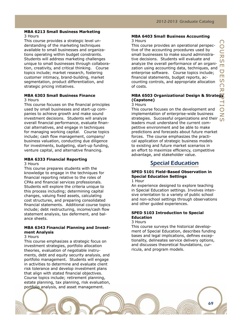# $\overline{O}$ urse Des C<br>R i  $\frac{\mathsf{O}}{\mathsf{Z}}$

#### **MBA 6213 Small Business Marketing** 3 Hours

This course provides a strategic level understanding of the marketing techniques available to small businesses and organizations operating within budget constraints. Students will address marketing challenges unique to small businesses through collaboration, creativity, and critical thinking. Course topics include; market research, fostering customer intimacy, brand-building, market segmentation, product differentiation, and strategic pricing initiatives.

#### **MBA 6303 Small Business Finance** 3 Hours

This course focuses on the financial principles used by small businesses and start-up companies to achieve growth and make sound investment decisions. Students will analyze overall financial performance, evaluate financial alternatives, and engage in techniques for managing working capital. Course topics include; cash flow management, company/ business valuation, conducting due diligence for investments, budgeting, start-up funding, venture capital, and alternative financing.

#### **MBA 6333 Financial Reporting**

3 Hours

This course prepares students with the knowledge to engage in the techniques for financial reporting relative to the roles of CPAs and financial services professionals. Students will explore the criteria unique to this process including; determining capital changes, valuing fixed assets, calculating cost structures, and preparing consolidated financial statements. Additional course topics include; debt restructuring, income/cash flow statement analysis, tax deferment, and balance sheets.

#### **MBA 6343 Financial Planning and Investment Analysis**

#### 3 Hours

This course emphasizes a strategic focus on investment strategies, portfolio allocation theories, evaluation of negotiable instruments, debt and equity security analysis, and portfolio management. Students will engage in activities to determine and evaluate client risk tolerance and develop investment plans that align with stated financial objectives. Course topics include; retirement planning, estate planning, tax planning, risk evaluation, portfolio analysis, and asset management.

### **MBA 6403 Small Business Accounting**

3 Hours

This course provides an operational perspective of the accounting procedures used by small businesses to make sound administrative decisions. Students will evaluate and analyze the overall performance of an organization using accounting data, techniques, and enterprise software. Course topics include; financial statements, budget reports, accounting controls, and appropriate allocation of costs.

#### pt**MBA 6503 Organizational Design & Strategy (Capstone)** 3 Hours

This course focuses on the development and implementation of enterprise-wide business strategies. Successful organizations and their leaders must understand the current competitive environment and be able to make predictions and forecasts about future market forces. The course emphasizes the practical application of strategic business models to existing and future market scenarios in an effort to maximize efficiency, competitive advantage, and stakeholder value.

## Special Education

## **SPED 5101 Field-Based Observation in Special Education Settings**

1 Hour

An experience designed to explore teaching in Special Education settings. Involves intensive orientation to a variety of public school and non-school settings through observations and other guided experiences.

## **SPED 5103 Introduction to Special Education**

# 3 Hours

This course surveys the historical development of Special Education, describes funding bases and legal implications, defines exceptionality, delineates service delivery options, and discusses theoretical foundations, curricula, and program models.

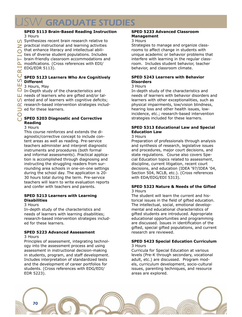### **SPED 5113 Brain-Based Reading Instruction** 3 Hours

Synthesizes recent brain research relative to  $\geq$  practical instructional and learning activities That enhance literacy and intellectual abilities of diverse student populations. Includes brain-friendly classroom accommodations and  $\triangle$  modifications. (Cross references with EDI/ EDG/EDR 5113).

# $\begin{array}{c} \textsf{W} \\ \textsf{H} \\ \textsf{B} \end{array}$  3 Hours, May <u>↓</u><br>△ EDG/EDR 5113).<br>○ SPED 5123 Learners Who Are Cognitively **Different**

 $\Box$  needs of learners who<br>  $\Box$  needs of learners who<br>  $\Box$  research-based interved<br>  $\Box$  ed for these learners.  $\Box$  In-Depth study of the characteristics and **⊔** needs of learners who are gifted and/or tal- $\bigcirc$  ented and of learners with cognitive deficits;  $\alpha$  research-based intervention strategies includ-

## Co **SPED 5203 Diagnostic and Corrective Reading**

#### 3 Hours

This course reinforces and extends the diagnostic/corrective concept to include content areas as well as reading. Pre-service teachers administer and interpret diagnostic instruments and procedures (both formal and informal assessments). Practical application is accomplished through diagnosing and instructing the struggling readers from surrounding area schools in one-on-one settings during the school day. The application is 20- 30 hours total during the term. Pre-service teachers will learn to write evaluation reports and confer with teachers and parents.

#### **SPED 5213 Learners with Learning Disabilities**

#### 3 Hours

In-depth study of the characteristics and needs of learners with learning disabilities; research-based intervention strategies included for these learners.

#### **SPED 5223 Advanced Assessment** 3 Hours

Principles of assessment, integrating technology into the assessment process and using assessment in instructional decision-making in students, program, and staff development. Includes interpretation of standardized tests and the development of career portfolios for students. (Cross references with EDG/EDI/ EDR 5223).

#### **SPED 5233 Advanced Classroom Management**

#### 3 Hours

Strategies to manage and organize classrooms to affect change in students with unique academic or behavior problems that interfere with learning in the regular classroom. Includes student behavior, teacher behavior, and classroom climate.

#### **SPED 5243 Learners with Behavior Disorders**

#### 3 Hours

In-depth study of the characteristics and needs of learners with behavior disorders and learners with other exceptionalities, such as physical impairments, low/vision blindness, hearing loss and other health issues, lowincidence, etc.; research-based intervention strategies included for these learners.

### **SPED 5313 Educational Law and Special Education Law**

#### 3 Hours

Preparation of professionals through analysis and synthesis of research, legislative issues and procedures, major court decisions, and state regulations. Course also covers Special Education topics related to assessment, discipline, current litigation, recent court decisions, and education (IDEA '97/IDEA '04, Section 504, NCLB, etc.). (Cross references with EDA/EDG/EDI 5313).

#### **SPED 5323 Nature & Needs of the Gifted** 3 Hours

The student will learn the current and historical issues in the field of gifted education. The intellectual, social, emotional developmental and educational characteristics of gifted students are introduced. Appropriate educational opportunities and programming are discussed. Issues in identification of the gifted, special gifted populations, and current research are reviewed.

#### **SPED 5423 Special Education Curriculum** 3 Hours

Curricula for Special Education at various levels (Pre-K through secondary, vocational adult, etc.) are discussed. Program models, curriculum development, socio-cultural issues, parenting techniques, and resource areas are explored.

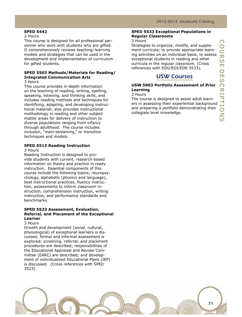#### **SPED 5442**

#### 2 Hours

This course is designed for all professional personnel who work with students who are gifted. It comprehensively reviews teaching–learning models and strategies that can be used in the development and implementation of curriculum for gifted students.

#### **SPED 5503 Methods/Materials for Reading/ Integrated Communication Arts**

3 Hours

This course provides in-depth information on the teaching of reading, writing, spelling, speaking, listening, and thinking skills, and includes reading methods and techniques for identifying, adapting, and developing instructional material; also provides instructional methodology in reading and other subject matter areas for delivery of instruction to diverse populations ranging from infancy through adulthood. The course includes inclusion, "main-streaming," or transition techniques and models.

#### **SPED 5513 Reading Instruction**

#### 3 Hours

Reading Instruction is designed to provide students with current, research-based information on theory and practice in ready instruction. Essential components of this course include the following topics; neuropsychology, alphabetic (phonics and language), best instructional practices, fluency instruction, assessments to inform classroom instruction, comprehension instruction, writing instruction, and performance standards and benchmarks.

#### **SPED 5523 Assessment, Evaluation, Referral, and Placement of the Exceptional Learner**

#### 3 Hours

Growth and development (social, cultural, physiological) of exceptional learners is discussed; formal and informal assessment is explored; screening, referral, and placement procedures are described; responsibilities of the Educational Appraisal and Review Committee (EARC) are described; and development of individualized Educational Plans (IEP) is discussed. (Cross references with SPED 3523)

#### **SPED 5533 Exceptional Populations in Regular Classrooms**

#### 3 Hours

Strategies to organize, modify, and supplement curricula; to provide appropriate learning activities on an individual basis, to assess exceptional students in reading and other curricula in the regular classroom. (Cross references with EDG/EDI/EDR 5533).

## USW Courses

#### **USW 5903 Portfolio Assessment of Prior Learning**

#### 3 Hours

The course is designed to assist adult learners in assessing their experiential background and preparing a portfolio demonstrating their collegiate level knowledge.

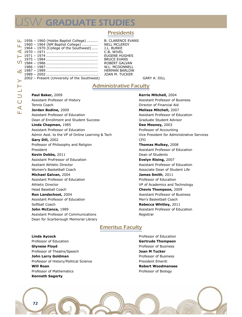# **SW GRADUATE STUDIES**

## Presidents

|                          | $\perp$ 1956 – 1960 (Hobbs Baptist College) |
|--------------------------|---------------------------------------------|
|                          | 1960 - 1964 (NM Baptist College)            |
| ー<br>て                   | 1964 - 1970 (College of the Southwest)      |
|                          |                                             |
| $\overline{\phantom{0}}$ |                                             |
|                          |                                             |
| U                        |                                             |
|                          |                                             |
|                          |                                             |
|                          |                                             |
|                          | 2002 - Present (University of the Southwest |
| ∽                        |                                             |
|                          |                                             |

**B. CLARENCE EVANS NELL MCLEROY** J.L. BURKE C.B. WIVEL EUGENE HUGHES BRUCE EVANS ROBERT GALVAN W.L. MCDONNELL HERMAN BARLOW 10AN M. TUCKER<br>.)

GARY A. DILL

## **Administrative Faculty**

**Paul Baker,** 2009 Assistant Professor of History Tennis Coach **Jordan Bodine,** 2009 Assistant Professor of Education Dean of Enrollment and Student Success **Linda Chapman,** 1985 Assistant Professor of Education Admin Asst. to the VP of Online Learning & Tech **Gary Dill,** 2002 Professor of Philosophy and Religion President **Kevin Dobbs,** 2011 Assistant Profressor of Education Assitant Athletic Director Women's Basketball Coach **Michael Galvan,** 2004 Assistant Professor of Education Athletic Director Head Baseball Coach **Ron Landschoot,** 2004 Assistant Professor of Education Softball Coach **John McCance,** 1989

Assistant Professor of Communications Dean for Scarborough Memorial Library

**Kerrie Mitchell,** 2004 Assistant Professor of Business Director of Financial Aid **Melissa Mitchell,** 2007 Assistant Professor of Education Graduate Student Advisor **Dee Mooney,** 2003 Professor of Accounting Vice President for Administrative Services CFO **Thomas Mulkey,** 2008 Assistant Professor of Education Dean of Students **Evelyn Rising,** 2007 Assistant Professor of Education Associate Dean of Student Life **James Smith**, 2011 Professor of Education VP of Academics and Technology **Chevis Thompson,** 2009 Assistant Professor of Business Men's Basketball Coach **Rebecca Whitley,** 2011 Assistant Professor of Education **Registrar** 

## Emeritus Faculty

**Linda Aycock** Professor of Education **Glynese Floyd** Professor of Theatre/Speech **John Larry Goldman** Professor of History/Political Science **Will Roan** Professor of Mathematics **Kenneth Sagerty**

Professor of Education **Gertrude Thompson** Professor of Business **Joan M Tucker** Professor of Business President Emeriti **Robert Woodmansee** Professor of Biology



L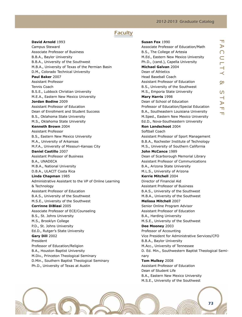#### 2012-2013 Graduate Catalog

## **Faculty**

**David Arnold** 1993 Campus Steward Associate Professor of Business B.B.A., Baylor University B.B.A., University of the Southwest M.B.A., University of Texas of the Permian Basin D.M., Colorado Technical University **Paul Baker** 2007 Assistant Professor Tennis Coach B.S.E., Lubbock Christian University M.E.A., Eastern New Mexico University **Jordan Bodine** 2009 Assistant Professor of Education Dean of Enrollment and Student Success B.S., Oklahoma State University M.S., Oklahoma State University **Kenneth Brown** 2004 Assistant Professor B.S., Eastern New Mexico University M.A., University of Arkansas M.F.A., University of Missouri-Kansas City **Daniel Castillo** 2007 Assistant Professor of Business B.A., UNADECA M.B.A., National University D.B.A., ULACIT Costa Rica **Linda Chapman** 1985 Administrative Assistant to the VP of Online Learning & Technology Assistant Professor of Education B.A.S., University of the Southwest M.S.E., University of the Southwest **Corrinne DiBlasi** 2005 Associate Professor of ECE/Counseling B.S., St. Johns University M.S., Brooklyn College P.D., St. Johns University Ed.D., Rutger's State University **Gary Dill** 2002 President Professor of Education/Religion B.A., Houston Baptist University M.Div., Princeton Theological Seminary D.Min., Southern Baptist Theological Seminary Ph.D., University of Texas at Austin

 $\overline{\mathbb{T}}$  $\blacktriangleright$  $\bigcap$  $\overline{\phantom{a}}$ y &  $\overline{S}$  $\overline{\phantom{0}}$  $\blacktriangleright$  $\mathbb T$  $\mathbf{H}$ **Susan Fox** 1990 Associate Professor of Education/Math B.S., The College of Artesia M.Ed., Eastern New Mexico University Ph.D., (cand.), Capella University **Michael Galvan** 2004 Dean of Athletics Head Baseball Coach Assistant Professor of Education B.S., University of the Southwest M.S., Emporia State University **Mary Harris** 1998 Dean of School of Education Professor of Education/Special Education B.A., Southeastern Louisiana University M.Sped., Eastern New Mexico University Ed.D., Nova-Southeastern University **Ron Landschoot** 2004 Softball Coach Assistant Professor of Sport Management B.B.A., Rochester Institute of Technology M.S., University of Southern California **John McCance** 1989 Dean of Scarborough Memorial Library Assistant Professor of Communications B.A., Arizona State University M.L.S., University of Arizona **Kerrie Mitchell** 2004 Director of Financial Aid Assistant Professor of Business B.A.S., University of the Southwest M.B.A., University of the Southwest **Melissa Mitchell** 2007 Senior Online Program Advisor Assistant Professor of Education B.A., Harding University M.S.E., University of the Southwest **Dee Mooney** 2003 Professor of Accounting Vice President for Administrative Services/CFO B.B.A., Baylor University M.Acc., University of Tennessee D. Ed. Min., Southwestern Baptist Theological Seminary **Tom Mulkey** 2008 Assistant Professor of Education Dean of Student Life B.A., Eastern New Mexico University M.S.E., University of the Southwest

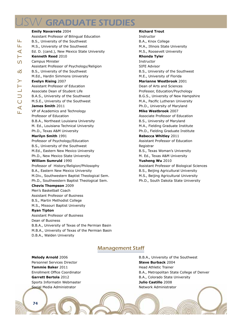## **SW GRADUATE STUDIES**

### **Emily Navarrete** 2004 Assistant Professor of Bilingual Education B.S., University of the Southwest M.S., University of the Southwest Ed. D. (cand.), New Mexico State University **Kenneth Reed** 2010 Campus Minister Assistant Professor of Psychology/Religion B.S., University of the Southwest M.Ed., Hardin Simmons University **Evelyn Rising** 2007 Assistant Professor of Education Associate Dean of Student Life B.A.S., University of the Southwest M.S.E., University of the Southwest **James Smith** 2011 VP of Academics and Technology Professor of Education B.B.A., Northeast Louisiana University M. Ed., Louisiana Technical University Ph.D., Texas A&M University **Marilyn Smith** 1991 Professor of Psychology/Education B.S., University of the Southwest M.Ed., Eastern New Mexico University Ph.D., New Mexico State University **William Sumruld** 1990 Professor of History/Religion/Philosophy B.A., Eastern New Mexico University M.Div., Southwestern Baptist Theological Sem. Ph.D., Southwestern Baptist Theological Sem. **Chevis Thompson** 2009 Men's Basketball Coach Assistant Professor of Business B.S., Martin Methodist College M.S., Missouri Baptist University **Ryan Tipton**  Assistant Professor of Business

Dean of Business B.B.A., University of Texas of the Permian Basin M.B.A., University of Texas of the Permian Basin D.B.A., Walden University

**Richard Trout** Instructor

B.A., Knox College M.A., Illinois State University M.S., Roosevelt University **Rhonda Tyler**  Instructor SIFE Advisor B.S., University of the Southwest M.E., University of Florida **Marianne Westbrook** 2001 Dean of Arts and Sciences Professor, Education/Psychology B.G.S., University of New Hampshire M.A., Pacific Lutheran University Ph.D., University of Maryland **Mike Westbrook** 2007 Associate Professor of Education B.S., University of Maryland M.A., Fielding Graduate Institute Ph.D., Fielding Graduate Institute **Rebecca Whitley** 2011 Assistant Professor of Education Registrar B.S., Texas Woman's University M. Ed., Texas A&M University **Yusheng Wu** 2010 Assistant Professor of Biological Sciences B.S., Beijing Agricultural University M.S., Beijing Agricultural University Ph.D., South Dakota State University

## Management Staff

**Melody Arnold** 2006

Personnel Services Director **Tammie Baker** 2011 Enrollment Office Coordinator **Garrett Bertola** 2012 Sports Informatin Webmaster Social Media Administrator

B.B.A., University of the Southwest **Steve Burback** 2004 Head Athletic Trainer B.A., Metropolitan State College of Denver B.A., Colorado State University **Julio Castillo** 2008 Network Administrator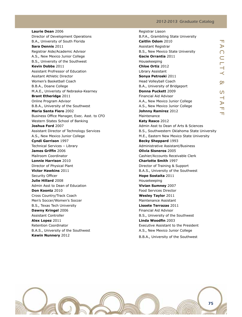#### 2012-2013 Graduate Catalog

**Laurie Dean** 2006 Director of Development Operations B.A., University of South Florida **Sara Dennis** 2011 Registrar Aide/Academic Advisor A.S., New Mexico Junior College B.S., University of the Southwest **Kevin Dobbs** 2011 Assistant Profressor of Education Assitant Athletic Director Women's Basketball Coach B.B.A., Doane College M.A.E., Univeristy of Nebraska-Kearney **Brant Etheridge** 2011 Online Program Advisor B.B.A., University of the Southwest **Maria Santa Fiero** 2002 Business Office Manager, Exec. Asst. to CFO Western States School of Banking **Joshua Ford** 2007 Assistant Director of Technology Services A.S., New Mexico Junior College **Cyndi Garrison** 1997 Technical Services – Library **James Griffin** 2006 Mailroom Coordinator **Lonnie Harrison** 2010 Director of Physical Plant **Victor Hawkins** 2011 Security Officer **Julie Hillard** 2008 Admin Asst to Dean of Education **Don Koontz** 2010 Cross Country/Track Coach Men's Soccer/Women's Soccer B.S., Texas Tech University **Dawny Kringel** 2006 Assistant Controller **Alex Lopez** 2011 Retention Coordinator B.A.S., University of the Southwest **Kawin Nunnery** 2012

| Registrar Liason                             |                       |
|----------------------------------------------|-----------------------|
| B.P.A., Grambiling State University          |                       |
| Caitlin Odom 2010                            | ᆩ                     |
| Assistant Registrar                          | $\blacktriangleright$ |
| B.S., New Mexico State University            | $\bigcap$             |
| Gacie Orrantia 2011                          | $\subset$             |
| Housekeeping                                 |                       |
| Chloe Ortiz 2012                             | ILTY                  |
| Library Assistant                            |                       |
| Sonya Petroski 2011                          |                       |
| Head Volleyball Coach                        | Ŗ                     |
| B.A., University of Bridgeport               |                       |
| Donna Puckett 2009                           | <u>ທ</u>              |
| <b>Financial Aid Advisor</b>                 | $\rightarrow$         |
| A.A., New Mexico Junior College              | $\blacktriangleright$ |
| A.S., New Mexico Junior College              | $\blacksquare$        |
| <b>Johnny Ramirez 2012</b>                   | TT.                   |
| Maintenance                                  |                       |
| Katy Rasco 2012                              |                       |
| Admin Asst to Dean of Arts & Sciences        |                       |
| B.S., Southwestern Oklahoma State University |                       |
| M.E., Eastern New Mexico State University    |                       |
| Becky Sheppard 1993                          |                       |
| Administrative Assistant/Business            |                       |
| Olivia Sisneros 2005                         |                       |
| Cashier/Accounts Receivable Clerk            |                       |
| <b>Charlotte Smith 1997</b>                  |                       |
| Director of Training & Support               |                       |
| B.A.S., University of the Southwest          |                       |
| Hope Sostaita 2011                           |                       |
| Housekeeping                                 |                       |
| Vivian Sumney 2007                           |                       |
| <b>Food Services Director</b>                |                       |
| <b>Wesley Taylor 2011</b>                    |                       |
| <b>Maintenance Assistant</b>                 |                       |
| <b>Lissete Terrazas 2011</b>                 |                       |
| <b>Financial Aid Advisor</b>                 |                       |
| B.S., University of the Southwest            |                       |
| Linda Woodfin 2003                           |                       |
| Executive Assistant to the President         |                       |
| A.S., New Mexico Junior College              |                       |
| B.B.A., University of the Southwest          |                       |